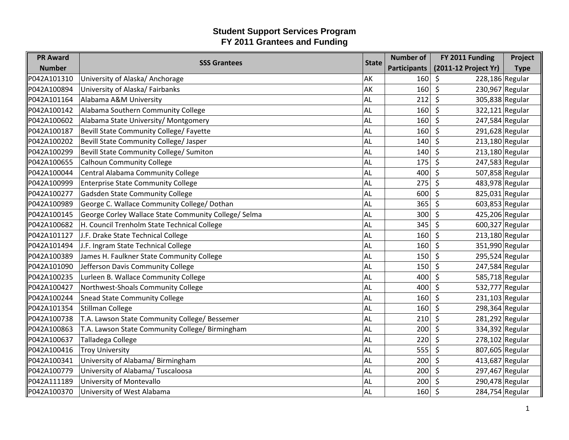| <b>PR Award</b> |                                                      | <b>State</b> | <b>Number of</b>    | FY 2011 Funding              | Project     |
|-----------------|------------------------------------------------------|--------------|---------------------|------------------------------|-------------|
| <b>Number</b>   | <b>SSS Grantees</b>                                  |              | <b>Participants</b> | (2011-12 Project Yr)         | <b>Type</b> |
| P042A101310     | University of Alaska/ Anchorage                      | AK           | 160                 | 228,186 Regular<br>\$        |             |
| P042A100894     | University of Alaska/ Fairbanks                      | AK           | 160                 | \$<br>230,967 Regular        |             |
| P042A101164     | Alabama A&M University                               | AL           | 212                 | \$<br>305,838 Regular        |             |
| P042A100142     | Alabama Southern Community College                   | AL           | 160                 | $\zeta$<br>$322,121$ Regular |             |
| P042A100602     | Alabama State University/ Montgomery                 | AL           | 160                 | \$<br>247,584 Regular        |             |
| P042A100187     | Bevill State Community College/ Fayette              | AL           | 160                 | 291,628 Regular<br>\$        |             |
| P042A100202     | Bevill State Community College/ Jasper               | AL           | 140                 | $\zeta$<br>$213,180$ Regular |             |
| P042A100299     | Bevill State Community College/ Sumiton              | AL           | 140                 | $213,180$ Regular<br>$\zeta$ |             |
| P042A100655     | <b>Calhoun Community College</b>                     | AL           | 175                 | $\zeta$<br>247,583 Regular   |             |
| P042A100044     | Central Alabama Community College                    | AL           | 400                 | 507,858 Regular<br>\$        |             |
| P042A100999     | <b>Enterprise State Community College</b>            | AL           | 275                 | $\zeta$<br>483,978 Regular   |             |
| P042A100277     | Gadsden State Community College                      | AL           | 600                 | $\zeta$<br>825,031 Regular   |             |
| P042A100989     | George C. Wallace Community College/ Dothan          | AL           | 365                 | $\zeta$<br>603,853 Regular   |             |
| P042A100145     | George Corley Wallace State Community College/ Selma | AL           | 300                 | 425,206 Regular<br>S.        |             |
| P042A100682     | H. Council Trenholm State Technical College          | <b>AL</b>    | 345                 | 600,327 Regular<br>\$        |             |
| P042A101127     | J.F. Drake State Technical College                   | AL           | 160                 | $213,180$ Regular<br>$\zeta$ |             |
| P042A101494     | J.F. Ingram State Technical College                  | AL           | 160                 | $\zeta$<br>351,990 Regular   |             |
| P042A100389     | James H. Faulkner State Community College            | <b>AL</b>    | 150                 | \$<br>295,524 Regular        |             |
| P042A101090     | Jefferson Davis Community College                    | AL           | 150                 | \$<br>247,584 Regular        |             |
| P042A100235     | Lurleen B. Wallace Community College                 | AL           | 400                 | $\zeta$<br>585,718 Regular   |             |
| P042A100427     | Northwest-Shoals Community College                   | AL           | 400                 | $\zeta$<br>532,777 Regular   |             |
| P042A100244     | <b>Snead State Community College</b>                 | <b>AL</b>    | 160                 | 231,103 Regular<br>\$        |             |
| P042A101354     | Stillman College                                     | AL           | 160                 | $\zeta$<br>298,364 Regular   |             |
| P042A100738     | T.A. Lawson State Community College/ Bessemer        | AL           | 210                 | $\zeta$<br>281,292 Regular   |             |
| P042A100863     | T.A. Lawson State Community College/ Birmingham      | AL           | 200                 | $\zeta$<br>334,392 Regular   |             |
| P042A100637     | Talladega College                                    | AL           | 220                 | $\zeta$<br>278,102 Regular   |             |
| P042A100416     | <b>Troy University</b>                               | AL           | 555                 | 807,605 Regular<br>\$        |             |
| P042A100341     | University of Alabama/ Birmingham                    | AL           | 200                 | $\zeta$<br>$413,687$ Regular |             |
| P042A100779     | University of Alabama/Tuscaloosa                     | <b>AL</b>    | 200                 | $\zeta$<br>297,467 Regular   |             |
| P042A111189     | University of Montevallo                             | AL           | 200                 | 290,478 Regular<br>\$        |             |
| P042A100370     | University of West Alabama                           | AL           | 160                 | $\zeta$<br>284,754 Regular   |             |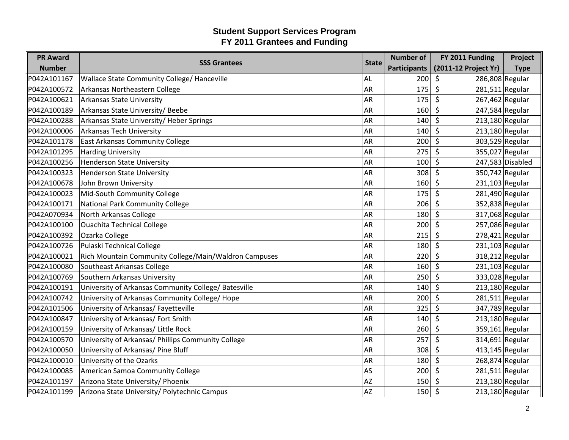| <b>PR Award</b> | <b>SSS Grantees</b>                                   | <b>State</b> | <b>Number of</b>    | FY 2011 Funding                       | Project            |
|-----------------|-------------------------------------------------------|--------------|---------------------|---------------------------------------|--------------------|
| <b>Number</b>   |                                                       |              | <b>Participants</b> | (2011-12 Project Yr)                  | <b>Type</b>        |
| P042A101167     | Wallace State Community College/ Hanceville           | <b>AL</b>    | 200                 | $\zeta$<br>286,808 Regular            |                    |
| P042A100572     | Arkansas Northeastern College                         | AR           | 175                 | \$<br>$281,511$ Regular               |                    |
| P042A100621     | <b>Arkansas State University</b>                      | AR           | 175                 | \$<br>267,462 Regular                 |                    |
| P042A100189     | Arkansas State University/Beebe                       | AR           | 160                 | $\zeta$<br>247,584 Regular            |                    |
| P042A100288     | Arkansas State University/ Heber Springs              | <b>AR</b>    | 140                 | $\zeta$<br>$213,180$ Regular          |                    |
| P042A100006     | <b>Arkansas Tech University</b>                       | AR           | 140                 | $\zeta$<br>$213,180$ Regular          |                    |
| P042A101178     | <b>East Arkansas Community College</b>                | <b>AR</b>    | 200                 | $\mathsf{\hat{S}}$<br>303,529 Regular |                    |
| P042A101295     | <b>Harding University</b>                             | <b>AR</b>    | 275                 | $\zeta$<br>355,027 Regular            |                    |
| P042A100256     | <b>Henderson State University</b>                     | AR           | 100                 | $\zeta$                               | $247,583$ Disabled |
| P042A100323     | <b>Henderson State University</b>                     | AR           | 308                 | \$<br>350,742 Regular                 |                    |
| P042A100678     | John Brown University                                 | <b>AR</b>    | 160                 | \$<br>231,103 Regular                 |                    |
| P042A100023     | Mid-South Community College                           | <b>AR</b>    | 175                 | $\zeta$<br>281,490 Regular            |                    |
| P042A100171     | National Park Community College                       | <b>AR</b>    | 206                 | $\zeta$<br>352,838 Regular            |                    |
| P042A070934     | North Arkansas College                                | AR           | 180                 | \$<br>317,068 Regular                 |                    |
| P042A100100     | Ouachita Technical College                            | <b>AR</b>    | 200                 | $\zeta$<br>257,086 Regular            |                    |
| P042A100392     | Ozarka College                                        | <b>AR</b>    | 215                 | $\zeta$<br>$278,421$ Regular          |                    |
| P042A100726     | Pulaski Technical College                             | AR           | 180                 | $\zeta$<br>$231,103$ Regular          |                    |
| P042A100021     | Rich Mountain Community College/Main/Waldron Campuses | <b>AR</b>    | 220                 | \$<br>318,212 Regular                 |                    |
| P042A100080     | Southeast Arkansas College                            | <b>AR</b>    | 160                 | $\zeta$<br>$231,103$ Regular          |                    |
| P042A100769     | Southern Arkansas University                          | <b>AR</b>    | 250                 | $\zeta$<br>333,028 Regular            |                    |
| P042A100191     | University of Arkansas Community College/ Batesville  | AR           | 140                 | $\zeta$<br>$213,180$ Regular          |                    |
| P042A100742     | University of Arkansas Community College/ Hope        | AR           | 200                 | \$<br>$281,511$ Regular               |                    |
| P042A101506     | University of Arkansas/ Fayetteville                  | AR           | 325                 | \$<br>347,789 Regular                 |                    |
| P042A100847     | University of Arkansas/ Fort Smith                    | <b>AR</b>    | 140                 | $\zeta$<br>$213,180$ Regular          |                    |
| P042A100159     | University of Arkansas/ Little Rock                   | AR           | 260                 | $\zeta$<br>359,161 Regular            |                    |
| P042A100570     | University of Arkansas/ Phillips Community College    | AR           | 257                 | \$<br>314,691 Regular                 |                    |
| P042A100050     | University of Arkansas/ Pine Bluff                    | AR           | 308                 | 413,145 Regular<br>\$                 |                    |
| P042A100010     | University of the Ozarks                              | <b>AR</b>    | 180                 | $\zeta$<br>268,874 Regular            |                    |
| P042A100085     | American Samoa Community College                      | AS           | 200                 | \$<br>$281,511$ Regular               |                    |
| P042A101197     | Arizona State University/ Phoenix                     | <b>AZ</b>    | 150                 | $213,180$ Regular<br>-\$              |                    |
| P042A101199     | Arizona State University/ Polytechnic Campus          | <b>AZ</b>    | 150                 | 213,180 Regular<br>\$                 |                    |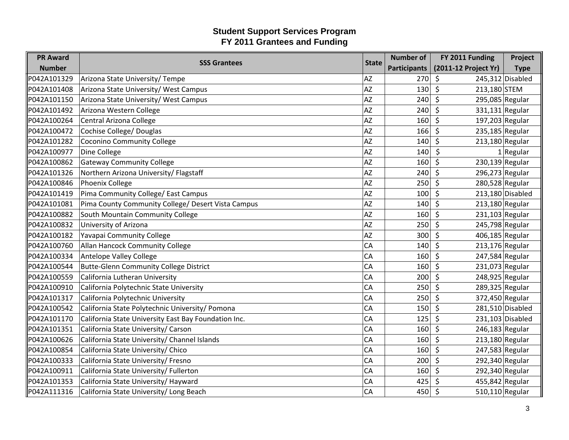| <b>PR Award</b> | <b>SSS Grantees</b>                                  | <b>State</b> | <b>Number of</b>    | FY 2011 Funding                         | Project            |
|-----------------|------------------------------------------------------|--------------|---------------------|-----------------------------------------|--------------------|
| <b>Number</b>   |                                                      |              | <b>Participants</b> | (2011-12 Project Yr)                    | <b>Type</b>        |
| P042A101329     | Arizona State University/ Tempe                      | <b>AZ</b>    | 270                 | S.                                      | 245,312 Disabled   |
| P042A101408     | Arizona State University/ West Campus                | AZ           | 130                 | \$<br>213,180 STEM                      |                    |
| P042A101150     | Arizona State University/ West Campus                | <b>AZ</b>    | 240                 | $\zeta$<br>295,085 Regular              |                    |
| P042A101492     | Arizona Western College                              | <b>AZ</b>    | 240                 | $\zeta$<br>331,131 Regular              |                    |
| P042A100264     | Central Arizona College                              | <b>AZ</b>    | 160                 | $\zeta$<br>197,203 Regular              |                    |
| P042A100472     | Cochise College/ Douglas                             | AZ           | 166                 | 235,185 Regular<br>\$                   |                    |
| P042A101282     | <b>Coconino Community College</b>                    | <b>AZ</b>    | 140                 | \$<br>$213,180$ Regular                 |                    |
| P042A100977     | Dine College                                         | AZ           | 140                 | $\zeta$                                 | $1$ Regular        |
| P042A100862     | <b>Gateway Community College</b>                     | <b>AZ</b>    | 160                 | $\zeta$<br>230,139 Regular              |                    |
| P042A101326     | Northern Arizona University/ Flagstaff               | AZ           | 240                 | \$<br>296,273 Regular                   |                    |
| P042A100846     | <b>Phoenix College</b>                               | <b>AZ</b>    | 250                 | \$<br>280,528 Regular                   |                    |
| P042A101419     | Pima Community College/ East Campus                  | AZ           | 100                 | $\zeta$                                 | $213,180$ Disabled |
| P042A101081     | Pima County Community College/ Desert Vista Campus   | <b>AZ</b>    | 140                 | $\mathsf{\hat{S}}$<br>$213,180$ Regular |                    |
| P042A100882     | South Mountain Community College                     | AZ           | 160                 | $231,103$ Regular<br>\$                 |                    |
| P042A100832     | University of Arizona                                | <b>AZ</b>    | 250                 | $\mathsf{\hat{S}}$<br>245,798 Regular   |                    |
| P042A100182     | Yavapai Community College                            | AZ           | 300                 | $\zeta$<br>406,185 Regular              |                    |
| P042A100760     | Allan Hancock Community College                      | CA           | 140                 | $\zeta$<br>213,176 Regular              |                    |
| P042A100334     | Antelope Valley College                              | CA           | 160                 | \$<br>247,584 Regular                   |                    |
| P042A100544     | <b>Butte-Glenn Community College District</b>        | CA           | 160                 | $\zeta$<br>231,073 Regular              |                    |
| P042A100559     | California Lutheran University                       | CA           | 200                 | $\zeta$<br>248,925 Regular              |                    |
| P042A100910     | California Polytechnic State University              | CA           | 250                 | 289,325 Regular<br>$\zeta$              |                    |
| P042A101317     | California Polytechnic University                    | CA           | 250                 | \$<br>372,450 Regular                   |                    |
| P042A100542     | California State Polytechnic University/ Pomona      | CA           | 150                 | \$                                      | 281,510 Disabled   |
| P042A101170     | California State University East Bay Foundation Inc. | CA           | 125                 | $\zeta$                                 | $231,103$ Disabled |
| P042A101351     | California State University/ Carson                  | CA           | 160                 | $\zeta$<br>$246,183$ Regular            |                    |
| P042A100626     | California State University/ Channel Islands         | CA           | 160                 | \$<br>$213,180$ Regular                 |                    |
| P042A100854     | California State University/ Chico                   | CA           | 160                 | \$<br>247,583 Regular                   |                    |
| P042A100333     | California State University/ Fresno                  | CA           | 200                 | $\zeta$<br>292,340 Regular              |                    |
| P042A100911     | California State University/ Fullerton               | CA           | 160                 | \$<br>292,340 Regular                   |                    |
| P042A101353     | California State University/ Hayward                 | CA           | 425                 | 455,842 Regular<br>\$                   |                    |
| P042A111316     | California State University/ Long Beach              | CA           | 450                 | $\zeta$<br>$510,110$ Regular            |                    |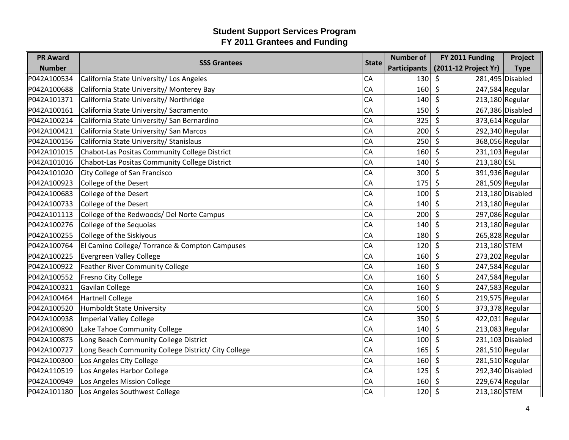| <b>PR Award</b> | <b>SSS Grantees</b>                                 | <b>State</b> | <b>Number of</b>    | FY 2011 Funding              | Project            |
|-----------------|-----------------------------------------------------|--------------|---------------------|------------------------------|--------------------|
| <b>Number</b>   |                                                     |              | <b>Participants</b> | (2011-12 Project Yr)         | <b>Type</b>        |
| P042A100534     | California State University/ Los Angeles            | CA           | 130                 | $\zeta$                      | 281,495 Disabled   |
| P042A100688     | California State University/ Monterey Bay           | CA           | 160                 | \$<br>247,584 Regular        |                    |
| P042A101371     | California State University/ Northridge             | CA           | 140                 | \$<br>$213,180$ Regular      |                    |
| P042A100161     | California State University/ Sacramento             | CA           | 150                 | \$                           | 267,386 Disabled   |
| P042A100214     | California State University/ San Bernardino         | CA           | 325                 | \$<br>373,614 Regular        |                    |
| P042A100421     | California State University/ San Marcos             | CA           | 200                 | 292,340 Regular<br>\$        |                    |
| P042A100156     | California State University/ Stanislaus             | CA           | 250                 | $\zeta$<br>368,056 Regular   |                    |
| P042A101015     | Chabot-Las Positas Community College District       | CA           | 160                 | \$<br>231,103 Regular        |                    |
| P042A101016     | Chabot-Las Positas Community College District       | CA           | 140                 | 213,180 ESL<br>\$            |                    |
| P042A101020     | City College of San Francisco                       | CA           | 300                 | 391,936 Regular<br>\$        |                    |
| P042A100923     | College of the Desert                               | CA           | 175                 | \$<br>281,509 Regular        |                    |
| P042A100683     | College of the Desert                               | CA           | 100                 | \$                           | 213,180 Disabled   |
| P042A100733     | College of the Desert                               | CA           | 140                 | $\zeta$<br>$213,180$ Regular |                    |
| P042A101113     | College of the Redwoods/ Del Norte Campus           | CA           | 200                 | 297,086 Regular<br>\$        |                    |
| P042A100276     | College of the Sequoias                             | CA           | 140                 | $\zeta$<br>$213,180$ Regular |                    |
| P042A100255     | College of the Siskiyous                            | CA           | 180                 | \$<br>265,828 Regular        |                    |
| P042A100764     | El Camino College/ Torrance & Compton Campuses      | CA           | 120                 | \$<br>213,180 STEM           |                    |
| P042A100225     | <b>Evergreen Valley College</b>                     | CA           | 160                 | 273,202 Regular<br>\$        |                    |
| P042A100922     | <b>Feather River Community College</b>              | CA           | 160                 | \$<br>247,584 Regular        |                    |
| P042A100552     | Fresno City College                                 | CA           | 160                 | \$<br>247,584 Regular        |                    |
| P042A100321     | <b>Gavilan College</b>                              | CA           | 160                 | 247,583 Regular<br>\$        |                    |
| P042A100464     | <b>Hartnell College</b>                             | CA           | 160                 | 219,575 Regular<br>\$        |                    |
| P042A100520     | <b>Humboldt State University</b>                    | <b>CA</b>    | 500                 | 373,378 Regular<br>\$        |                    |
| P042A100938     | <b>Imperial Valley College</b>                      | CA           | 350                 | \$<br>422,031 Regular        |                    |
| P042A100890     | Lake Tahoe Community College                        | CA           | 140                 | $213,083$ Regular<br>\$      |                    |
| P042A100875     | Long Beach Community College District               | CA           | 100                 | \$                           | $231,103$ Disabled |
| P042A100727     | Long Beach Community College District/ City College | CA           | 165                 | \$<br>281,510 Regular        |                    |
| P042A100300     | Los Angeles City College                            | CA           | 160                 | $281,510$ Regular<br>\$      |                    |
| P042A110519     | Los Angeles Harbor College                          | CA           | 125                 | $\zeta$                      | 292,340 Disabled   |
| P042A100949     | Los Angeles Mission College                         | CA           | 160                 | 229,674 Regular<br>\$        |                    |
| P042A101180     | Los Angeles Southwest College                       | <b>CA</b>    | 120                 | 213,180 STEM<br>\$           |                    |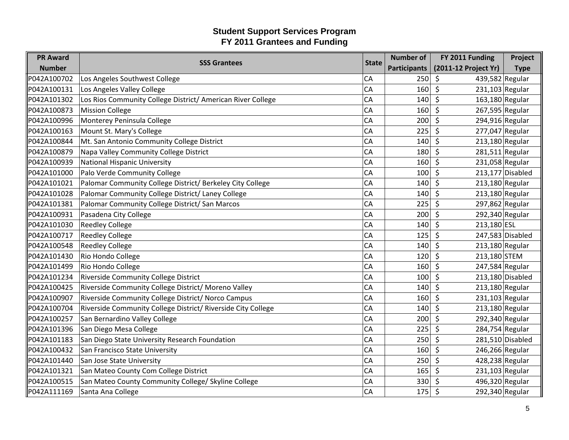| <b>PR Award</b> | <b>SSS Grantees</b>                                          | <b>State</b> | <b>Number of</b>    | FY 2011 Funding              | Project          |
|-----------------|--------------------------------------------------------------|--------------|---------------------|------------------------------|------------------|
| <b>Number</b>   |                                                              |              | <b>Participants</b> | (2011-12 Project Yr)         | <b>Type</b>      |
| P042A100702     | Los Angeles Southwest College                                | CA           | 250                 | 439,582 Regular<br>\$        |                  |
| P042A100131     | Los Angeles Valley College                                   | CA           | 160                 | 231,103 Regular<br>\$        |                  |
| P042A101302     | Los Rios Community College District/ American River College  | CA           | 140                 | \$<br>163,180 Regular        |                  |
| P042A100873     | <b>Mission College</b>                                       | CA           | 160                 | $\zeta$<br>267,595 Regular   |                  |
| P042A100996     | Monterey Peninsula College                                   | CA           | 200                 | \$<br>294,916 Regular        |                  |
| P042A100163     | Mount St. Mary's College                                     | CA           | 225                 | 277,047 Regular<br>\$        |                  |
| P042A100844     | Mt. San Antonio Community College District                   | CA           | 140                 | $\zeta$<br>213,180 Regular   |                  |
| P042A100879     | Napa Valley Community College District                       | CA           | 180                 | $281,511$ Regular<br>$\zeta$ |                  |
| P042A100939     | <b>National Hispanic University</b>                          | CA           | 160                 | $\zeta$<br>231,058 Regular   |                  |
| P042A101000     | Palo Verde Community College                                 | CA           | 100                 | \$                           | 213,177 Disabled |
| P042A101021     | Palomar Community College District/ Berkeley City College    | CA           | 140                 | $\zeta$<br>$213,180$ Regular |                  |
| P042A101028     | Palomar Community College District/ Laney College            | CA           | 140                 | $\zeta$<br>$213,180$ Regular |                  |
| P042A101381     | Palomar Community College District/ San Marcos               | CA           | 225                 | $\zeta$<br>297,862 Regular   |                  |
| P042A100931     | Pasadena City College                                        | CA           | 200                 | 292,340 Regular<br>S.        |                  |
| P042A101030     | <b>Reedley College</b>                                       | CA           | 140                 | $\zeta$<br>213,180 ESL       |                  |
| P042A100717     | <b>Reedley College</b>                                       | CA           | 125                 | $\zeta$                      | 247,583 Disabled |
| P042A100548     | <b>Reedley College</b>                                       | CA           | 140                 | $\zeta$<br>213,180 Regular   |                  |
| P042A101430     | Rio Hondo College                                            | CA           | 120                 | \$<br>213,180 STEM           |                  |
| P042A101499     | Rio Hondo College                                            | CA           | 160                 | \$<br>247,584 Regular        |                  |
| P042A101234     | Riverside Community College District                         | CA           | 100                 | $\zeta$                      | 213,180 Disabled |
| P042A100425     | Riverside Community College District/ Moreno Valley          | CA           | 140                 | \$<br>213,180 Regular        |                  |
| P042A100907     | Riverside Community College District/ Norco Campus           | CA           | 160                 | 231,103 Regular<br>\$        |                  |
| P042A100704     | Riverside Community College District/ Riverside City College | CA           | 140                 | $\zeta$<br>$213,180$ Regular |                  |
| P042A100257     | San Bernardino Valley College                                | CA           | 200                 | 292,340 Regular<br>$\zeta$   |                  |
| P042A101396     | San Diego Mesa College                                       | CA           | 225                 | $\zeta$<br>284,754 Regular   |                  |
| P042A101183     | San Diego State University Research Foundation               | CA           | 250                 | $\zeta$                      | 281,510 Disabled |
| P042A100432     | San Francisco State University                               | CA           | 160                 | $\zeta$<br>246,266 Regular   |                  |
| P042A101440     | San Jose State University                                    | CA           | 250                 | $\zeta$<br>428,238 Regular   |                  |
| P042A101321     | San Mateo County Com College District                        | CA           | 165                 | $\zeta$<br>$231,103$ Regular |                  |
| P042A100515     | San Mateo County Community College/ Skyline College          | CA           | 330                 | 496,320 Regular<br>\$        |                  |
| P042A111169     | Santa Ana College                                            | CA           | 175                 | $\zeta$<br>292,340 Regular   |                  |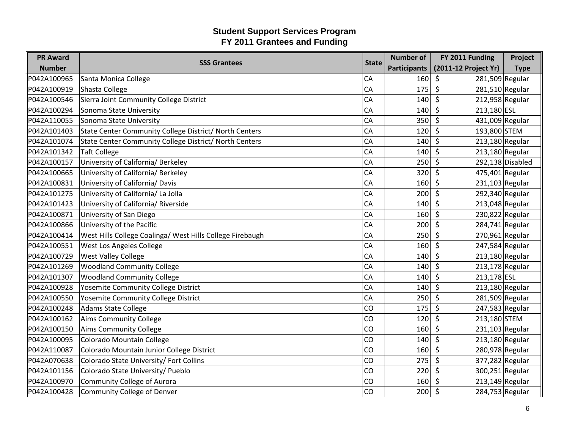| <b>PR Award</b> | <b>SSS Grantees</b>                                       | <b>State</b> | <b>Number of</b>    | FY 2011 Funding              | Project          |
|-----------------|-----------------------------------------------------------|--------------|---------------------|------------------------------|------------------|
| <b>Number</b>   |                                                           |              | <b>Participants</b> | (2011-12 Project Yr)         | <b>Type</b>      |
| P042A100965     | Santa Monica College                                      | CA           | 160                 | 281,509 Regular<br>$\zeta$   |                  |
| P042A100919     | Shasta College                                            | CA           | 175                 | \$<br>$281,510$ Regular      |                  |
| P042A100546     | Sierra Joint Community College District                   | CA           | 140                 | \$<br>212,958 Regular        |                  |
| P042A100294     | Sonoma State University                                   | CA           | 140                 | $\zeta$<br>213,180 ESL       |                  |
| P042A110055     | Sonoma State University                                   | CA           | 350                 | \$<br>431,009 Regular        |                  |
| P042A101403     | State Center Community College District/ North Centers    | CA           | 120                 | \$<br>193,800 STEM           |                  |
| P042A101074     | State Center Community College District/ North Centers    | CA           | 140                 | $\zeta$<br>$213,180$ Regular |                  |
| P042A101342     | <b>Taft College</b>                                       | CA           | 140                 | $\zeta$<br>$213,180$ Regular |                  |
| P042A100157     | University of California/ Berkeley                        | CA           | 250                 | \$                           | 292,138 Disabled |
| P042A100665     | University of California/ Berkeley                        | CA           | 320                 | \$<br>475,401 Regular        |                  |
| P042A100831     | University of California/ Davis                           | CA           | 160                 | \$<br>$231,103$ Regular      |                  |
| P042A101275     | University of California/ La Jolla                        | CA           | 200                 | 292,340 Regular<br>$\zeta$   |                  |
| P042A101423     | University of California/ Riverside                       | CA           | 140                 | $\zeta$<br>$213,048$ Regular |                  |
| P042A100871     | University of San Diego                                   | CA           | 160                 | 230,822 Regular<br>\$        |                  |
| P042A100866     | University of the Pacific                                 | CA           | 200                 | $\zeta$<br>284,741 Regular   |                  |
| P042A100414     | West Hills College Coalinga/ West Hills College Firebaugh | CA           | 250                 | $270,961$ Regular<br>$\zeta$ |                  |
| P042A100551     | West Los Angeles College                                  | CA           | 160                 | $\zeta$<br>247,584 Regular   |                  |
| P042A100729     | <b>West Valley College</b>                                | CA           | 140                 | \$<br>$213,180$ Regular      |                  |
| P042A101269     | <b>Woodland Community College</b>                         | CA           | 140                 | \$<br>213,178 Regular        |                  |
| P042A101307     | <b>Woodland Community College</b>                         | CA           | 140                 | $\zeta$<br>213,178 ESL       |                  |
| P042A100928     | Yosemite Community College District                       | CA           | 140                 | \$<br>$213,180$ Regular      |                  |
| P042A100550     | Yosemite Community College District                       | CA           | 250                 | $\zeta$<br>281,509 Regular   |                  |
| P042A100248     | <b>Adams State College</b>                                | CO           | 175                 | $\zeta$<br>247,583 Regular   |                  |
| P042A100162     | <b>Aims Community College</b>                             | CO           | 120                 | $\zeta$<br>213,180 STEM      |                  |
| P042A100150     | <b>Aims Community College</b>                             | CO           | 160                 | $\zeta$<br>$231,103$ Regular |                  |
| P042A100095     | Colorado Mountain College                                 | CO           | 140                 | \$<br>$213,180$ Regular      |                  |
| P042A110087     | Colorado Mountain Junior College District                 | CO           | 160                 | \$<br>280,978 Regular        |                  |
| P042A070638     | Colorado State University/ Fort Collins                   | CO           | 275                 | $\zeta$<br>377,282 Regular   |                  |
| P042A101156     | Colorado State University/ Pueblo                         | CO           | 220                 | $\zeta$<br>300,251 Regular   |                  |
| P042A100970     | <b>Community College of Aurora</b>                        | CO           | 160                 | $213,149$ Regular<br>\$      |                  |
| P042A100428     | Community College of Denver                               | CO           | 200                 | \$<br>284,753 Regular        |                  |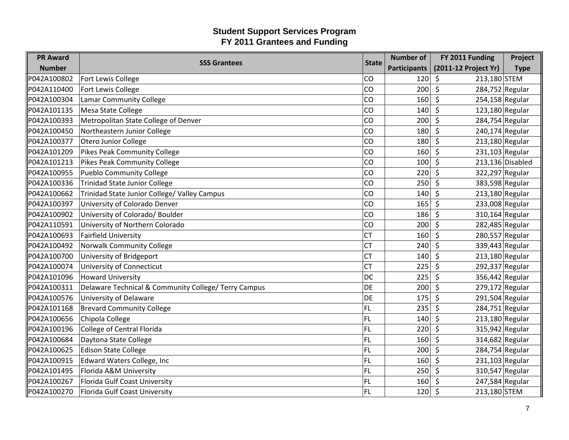| <b>PR Award</b> | <b>SSS Grantees</b>                                  | <b>State</b> | <b>Number of</b>    | FY 2011 Funding              | Project          |
|-----------------|------------------------------------------------------|--------------|---------------------|------------------------------|------------------|
| <b>Number</b>   |                                                      |              | <b>Participants</b> | (2011-12 Project Yr)         | <b>Type</b>      |
| P042A100802     | Fort Lewis College                                   | CO           | 120                 | $\zeta$<br>213,180 STEM      |                  |
| P042A110400     | Fort Lewis College                                   | CO           | 200                 | \$<br>284,752 Regular        |                  |
| P042A100304     | <b>Lamar Community College</b>                       | CO           | 160                 | \$<br>254,158 Regular        |                  |
| P042A101135     | Mesa State College                                   | CO           | 140                 | $\zeta$<br>$123,180$ Regular |                  |
| P042A100393     | Metropolitan State College of Denver                 | CO           | 200                 | \$<br>284,754 Regular        |                  |
| P042A100450     | Northeastern Junior College                          | CO           | 180                 | \$<br>240,174 Regular        |                  |
| P042A100377     | Otero Junior College                                 | CO           | 180                 | $\zeta$<br>$213,180$ Regular |                  |
| P042A101209     | <b>Pikes Peak Community College</b>                  | CO           | 160                 | $\zeta$<br>$231,103$ Regular |                  |
| P042A101213     | <b>Pikes Peak Community College</b>                  | CO           | 100                 | $\zeta$                      | 213,136 Disabled |
| P042A100955     | <b>Pueblo Community College</b>                      | CO           | 220                 | \$<br>322,297 Regular        |                  |
| P042A100336     | <b>Trinidad State Junior College</b>                 | CO           | 250                 | $\zeta$<br>383,598 Regular   |                  |
| P042A100662     | Trinidad State Junior College/ Valley Campus         | CO           | 140                 | $\zeta$<br>$213,180$ Regular |                  |
| P042A100397     | University of Colorado Denver                        | CO           | 165                 | $\zeta$<br>233,008 Regular   |                  |
| P042A100902     | University of Colorado/ Boulder                      | CO           | 186                 | 310,164 Regular<br>\$        |                  |
| P042A110591     | University of Northern Colorado                      | CO           | 200                 | $\zeta$<br>282,485 Regular   |                  |
| P042A100693     | <b>Fairfield University</b>                          | <b>CT</b>    | 160                 | $\zeta$<br>280,557 Regular   |                  |
| P042A100492     | <b>Norwalk Community College</b>                     | <b>CT</b>    | 240                 | $\zeta$<br>339,443 Regular   |                  |
| P042A100700     | University of Bridgeport                             | <b>CT</b>    | 140                 | \$<br>$213,180$ Regular      |                  |
| P042A100074     | University of Connecticut                            | <b>CT</b>    | 225                 | \$<br>292,337 Regular        |                  |
| P042A101096     | <b>Howard University</b>                             | <b>DC</b>    | 225                 | $\zeta$<br>356,442 Regular   |                  |
| P042A100311     | Delaware Technical & Community College/ Terry Campus | <b>DE</b>    | 200                 | \$<br>279,172 Regular        |                  |
| P042A100576     | University of Delaware                               | <b>DE</b>    | 175                 | \$<br>291,504 Regular        |                  |
| P042A101168     | <b>Brevard Community College</b>                     | <b>FL</b>    | 235                 | $\zeta$<br>284,751 Regular   |                  |
| P042A100656     | Chipola College                                      | <b>FL</b>    | 140                 | $\zeta$<br>$213,180$ Regular |                  |
| P042A100196     | <b>College of Central Florida</b>                    | <b>FL</b>    | 220                 | $\zeta$<br>315,942 Regular   |                  |
| P042A100684     | Daytona State College                                | <b>FL</b>    | 160                 | \$<br>314,682 Regular        |                  |
| P042A100625     | <b>Edison State College</b>                          | <b>FL</b>    | 200                 | \$<br>284,754 Regular        |                  |
| P042A100915     | Edward Waters College, Inc                           | <b>FL</b>    | 160                 | $\zeta$<br>$231,103$ Regular |                  |
| P042A101495     | Florida A&M University                               | <b>FL</b>    | 250                 | $\zeta$<br>310,547 Regular   |                  |
| P042A100267     | Florida Gulf Coast University                        | <b>FL</b>    | 160                 | 247,584 Regular<br>\$        |                  |
| P042A100270     | Florida Gulf Coast University                        | <b>FL</b>    | 120                 | \$<br>213,180 STEM           |                  |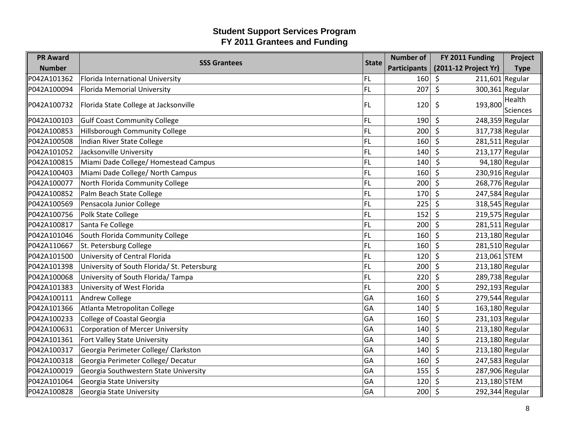| <b>PR Award</b> |                                             | <b>State</b> | <b>Number of</b>    | FY 2011 Funding              | Project         |
|-----------------|---------------------------------------------|--------------|---------------------|------------------------------|-----------------|
| <b>Number</b>   | <b>SSS Grantees</b>                         |              | <b>Participants</b> | (2011-12 Project Yr)         | <b>Type</b>     |
| P042A101362     | Florida International University            | FL           | 160                 | $211,601$ Regular<br>\$      |                 |
| P042A100094     | <b>Florida Memorial University</b>          | <b>FL</b>    | 207                 | \$<br>300,361 Regular        |                 |
| P042A100732     | Florida State College at Jacksonville       | FL           | 120                 | 193,800<br>\$                | Health          |
|                 |                                             |              |                     |                              | <b>Sciences</b> |
| P042A100103     | <b>Gulf Coast Community College</b>         | FL           | 190                 | $\zeta$<br>248,359 Regular   |                 |
| P042A100853     | Hillsborough Community College              | <b>FL</b>    | 200                 | 317,738 Regular<br>\$        |                 |
| P042A100508     | Indian River State College                  | FL           | 160                 | \$<br>281,511 Regular        |                 |
| P042A101052     | Jacksonville University                     | FL           | 140                 | $213,177$ Regular<br>\$      |                 |
| P042A100815     | Miami Dade College/ Homestead Campus        | FL           | 140                 | $\zeta$                      | 94,180 Regular  |
| P042A100403     | Miami Dade College/ North Campus            | FL           | 160                 | 230,916 Regular<br>\$        |                 |
| P042A100077     | North Florida Community College             | FL           | 200                 | \$<br>268,776 Regular        |                 |
| P042A100852     | Palm Beach State College                    | <b>FL</b>    | 170                 | $\zeta$<br>$247,584$ Regular |                 |
| P042A100569     | Pensacola Junior College                    | FL           | 225                 | $\zeta$<br>318,545 Regular   |                 |
| P042A100756     | Polk State College                          | <b>FL</b>    | 152                 | 219,575 Regular<br>\$        |                 |
| P042A100817     | Santa Fe College                            | FL           | 200                 | $\zeta$<br>281,511 Regular   |                 |
| P042A101046     | South Florida Community College             | FL           | 160                 | $213,180$ Regular<br>\$      |                 |
| P042A110667     | St. Petersburg College                      | FL           | 160                 | $\zeta$<br>281,510 Regular   |                 |
| P042A101500     | University of Central Florida               | <b>FL</b>    | 120                 | $\zeta$<br>213,061 STEM      |                 |
| P042A101398     | University of South Florida/ St. Petersburg | FL           | 200                 | $\zeta$<br>213,180 Regular   |                 |
| P042A100068     | University of South Florida/Tampa           | <b>FL</b>    | 220                 | $\zeta$<br>289,738 Regular   |                 |
| P042A101383     | University of West Florida                  | <b>FL</b>    | 200                 | 292,193 Regular<br>$\zeta$   |                 |
| P042A100111     | Andrew College                              | GA           | 160                 | 279,544 Regular<br>\$        |                 |
| P042A101366     | Atlanta Metropolitan College                | GA           | 140                 | 163,180 Regular<br>\$        |                 |
| P042A100233     | College of Coastal Georgia                  | GA           | 160                 | $\zeta$<br>231,103 Regular   |                 |
| P042A100631     | <b>Corporation of Mercer University</b>     | GA           | 140                 | \$<br>213,180 Regular        |                 |
| P042A101361     | Fort Valley State University                | GA           | 140                 | \$<br>213,180 Regular        |                 |
| P042A100317     | Georgia Perimeter College/ Clarkston        | GA           | 140                 | $\zeta$<br>213,180 Regular   |                 |
| P042A100318     | Georgia Perimeter College/ Decatur          | GA           | 160                 | 247,583 Regular<br>$\zeta$   |                 |
| P042A100019     | Georgia Southwestern State University       | GA           | 155                 | $\zeta$<br>287,906 Regular   |                 |
| P042A101064     | Georgia State University                    | GA           | 120                 | 213,180 STEM<br>\$           |                 |
| P042A100828     | Georgia State University                    | GA           | 200                 | \$<br>292,344 Regular        |                 |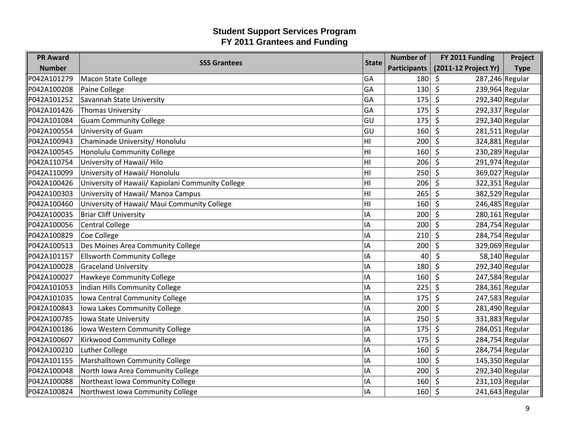| <b>PR Award</b> |                                                   | <b>State</b>   | <b>Number of</b>    | FY 2011 Funding            | Project          |
|-----------------|---------------------------------------------------|----------------|---------------------|----------------------------|------------------|
| <b>Number</b>   | <b>SSS Grantees</b>                               |                | <b>Participants</b> | (2011-12 Project Yr)       | <b>Type</b>      |
| P042A101279     | <b>Macon State College</b>                        | GA             | 180                 | 287,246 Regular<br>\$      |                  |
| P042A100208     | Paine College                                     | GA             | 130                 | 239,964 Regular<br>\$      |                  |
| P042A101252     | Savannah State University                         | GA             | 175                 | $\zeta$<br>292,340 Regular |                  |
| P042A101426     | Thomas University                                 | GA             | 175                 | $\zeta$<br>292,337 Regular |                  |
| P042A101084     | <b>Guam Community College</b>                     | lgu            | 175                 | $\zeta$<br>292,340 Regular |                  |
| P042A100554     | University of Guam                                | GU             | 160                 | 281,511 Regular<br>\$      |                  |
| P042A100943     | Chaminade University/ Honolulu                    | HI             | 200                 | $\zeta$<br>324,881 Regular |                  |
| P042A100545     | Honolulu Community College                        | H <sub>l</sub> | 160                 | $\zeta$<br>230,289 Regular |                  |
| P042A110754     | University of Hawaii/ Hilo                        | HI             | 206                 | $\zeta$<br>291,974 Regular |                  |
| P042A110099     | University of Hawaii/ Honolulu                    | HI             | 250                 | 369,027 Regular<br>\$      |                  |
| P042A100426     | University of Hawaii/ Kapiolani Community College | HI             | 206                 | $\zeta$<br>322,351 Regular |                  |
| P042A100303     | University of Hawaii/ Manoa Campus                | H <sub>l</sub> | 265                 | $\zeta$<br>382,529 Regular |                  |
| P042A100460     | University of Hawaii/ Maui Community College      | HI             | 160                 | $\zeta$<br>246,485 Regular |                  |
| P042A100035     | <b>Briar Cliff University</b>                     | IA             | 200                 | $280,161$ Regular<br>\$    |                  |
| P042A100056     | <b>Central College</b>                            | IA             | 200                 | $\zeta$<br>284,754 Regular |                  |
| P042A100829     | Coe College                                       | IA             | 210                 | \$<br>284,754 Regular      |                  |
| P042A100513     | Des Moines Area Community College                 | IA             | 200                 | $\zeta$<br>329,069 Regular |                  |
| P042A101157     | <b>Ellsworth Community College</b>                | IA             | 40                  | \$                         | $58,140$ Regular |
| P042A100028     | <b>Graceland University</b>                       | IA             | 180                 | $\zeta$<br>292,340 Regular |                  |
| P042A100027     | Hawkeye Community College                         | ΙA             | 160                 | $\zeta$<br>247,584 Regular |                  |
| P042A101053     | Indian Hills Community College                    | IA             | 225                 | $\zeta$<br>284,361 Regular |                  |
| P042A101035     | Iowa Central Community College                    | IA             | 175                 | \$<br>247,583 Regular      |                  |
| P042A100843     | Iowa Lakes Community College                      | IA             | 200                 | $\zeta$<br>281,490 Regular |                  |
| P042A100785     | Iowa State University                             | IA             | 250                 | 331,883 Regular<br>$\zeta$ |                  |
| P042A100186     | Iowa Western Community College                    | IA             | 175                 | \$<br>284,051 Regular      |                  |
| P042A100607     | Kirkwood Community College                        | IA             | 175                 | \$<br>284,754 Regular      |                  |
| P042A100210     | <b>Luther College</b>                             | IA             | 160                 | $\zeta$<br>284,754 Regular |                  |
| P042A101155     | Marshalltown Community College                    | IA             | 100                 | $\zeta$<br>145,350 Regular |                  |
| P042A100048     | North Iowa Area Community College                 | IA             | 200                 | $\zeta$<br>292,340 Regular |                  |
| P042A100088     | Northeast Iowa Community College                  | IA             | 160                 | 231,103 Regular<br>\$      |                  |
| P042A100824     | Northwest Iowa Community College                  | IA             | 160                 | $\zeta$<br>241,643 Regular |                  |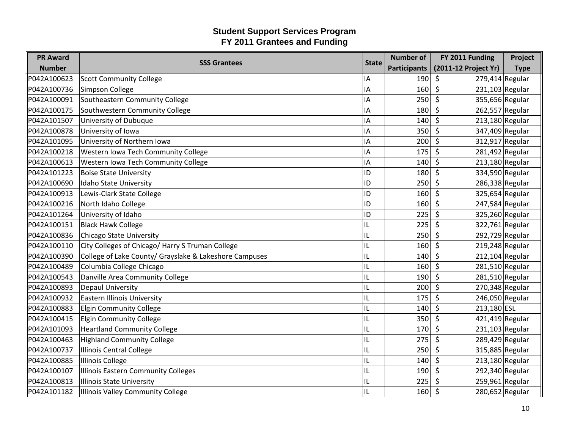| <b>PR Award</b> |                                                        | <b>State</b> | <b>Number of</b>    | FY 2011 Funding              | Project     |
|-----------------|--------------------------------------------------------|--------------|---------------------|------------------------------|-------------|
| <b>Number</b>   | <b>SSS Grantees</b>                                    |              | <b>Participants</b> | (2011-12 Project Yr)         | <b>Type</b> |
| P042A100623     | <b>Scott Community College</b>                         | IA           | 190                 | $279,414$ Regular<br>\$      |             |
| P042A100736     | Simpson College                                        | ΙA           | 160                 | \$<br>231,103 Regular        |             |
| P042A100091     | Southeastern Community College                         | ١A           | 250                 | 355,656 Regular<br>\$        |             |
| P042A100175     | Southwestern Community College                         | IA           | 180                 | $\zeta$<br>262,557 Regular   |             |
| P042A101507     | University of Dubuque                                  | IA           | 140                 | $\zeta$<br>$213,180$ Regular |             |
| P042A100878     | University of Iowa                                     | ΙA           | 350                 | 347,409 Regular<br>\$        |             |
| P042A101095     | University of Northern Iowa                            | IA           | 200                 | $\zeta$<br>312,917 Regular   |             |
| P042A100218     | Western Iowa Tech Community College                    | IA           | 175                 | 281,492 Regular<br>\$        |             |
| P042A100613     | Western Iowa Tech Community College                    | IA           | 140                 | $\zeta$<br>$213,180$ Regular |             |
| P042A101223     | <b>Boise State University</b>                          | ID           | 180                 | 334,590 Regular<br>\$        |             |
| P042A100690     | Idaho State University                                 | ID           | 250                 | $\zeta$<br>286,338 Regular   |             |
| P042A100913     | Lewis-Clark State College                              | ID           | 160                 | $\zeta$<br>325,654 Regular   |             |
| P042A100216     | North Idaho College                                    | ID           | 160                 | $\zeta$<br>247,584 Regular   |             |
| P042A101264     | University of Idaho                                    | ID           | 225                 | 325,260 Regular<br>S.        |             |
| P042A100151     | <b>Black Hawk College</b>                              | IL           | 225                 | $\zeta$<br>322,761 Regular   |             |
| P042A100836     | <b>Chicago State University</b>                        | IL           | 250                 | 292,729 Regular<br>\$        |             |
| P042A100110     | City Colleges of Chicago/ Harry S Truman College       | IL           | 160                 | $\zeta$<br>219,248 Regular   |             |
| P042A100390     | College of Lake County/ Grayslake & Lakeshore Campuses | IL           | 140                 | $212,104$ Regular<br>\$      |             |
| P042A100489     | Columbia College Chicago                               | IL           | 160                 | $\zeta$<br>281,510 Regular   |             |
| P042A100543     | Danville Area Community College                        | IL           | 190                 | 281,510 Regular<br>$\zeta$   |             |
| P042A100893     | <b>Depaul University</b>                               | IL           | 200                 | $\zeta$<br>270,348 Regular   |             |
| P042A100932     | <b>Eastern Illinois University</b>                     | IL           | 175                 | $\zeta$<br>246,050 Regular   |             |
| P042A100883     | <b>Elgin Community College</b>                         | IL           | 140                 | $\zeta$<br>213,180 ESL       |             |
| P042A100415     | <b>Elgin Community College</b>                         | IL           | 350                 | $421,419$ Regular<br>$\zeta$ |             |
| P042A101093     | <b>Heartland Community College</b>                     | IL           | 170                 | $\zeta$<br>$231,103$ Regular |             |
| P042A100463     | <b>Highland Community College</b>                      | IL           | 275                 | $\zeta$<br>289,429 Regular   |             |
| P042A100737     | <b>Illinois Central College</b>                        | IL           | 250                 | 315,885 Regular<br>\$        |             |
| P042A100885     | <b>Illinois College</b>                                | IL           | 140                 | $\zeta$<br>213,180 Regular   |             |
| P042A100107     | <b>Illinois Eastern Community Colleges</b>             | IL           | 190                 | $\zeta$<br>292,340 Regular   |             |
| P042A100813     | <b>Illinois State University</b>                       | IL           | 225                 | 259,961 Regular<br>\$        |             |
| P042A101182     | <b>Illinois Valley Community College</b>               | IL           | 160                 | $\zeta$<br>280,652 Regular   |             |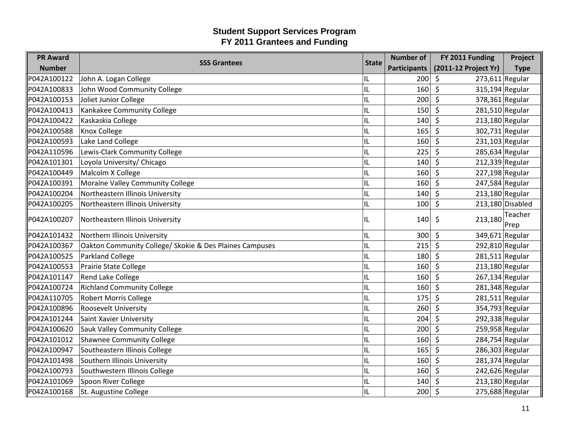| <b>PR Award</b> | <b>SSS Grantees</b><br><b>State</b>                     | <b>Number of</b> | FY 2011 Funding     | Project                      |                  |
|-----------------|---------------------------------------------------------|------------------|---------------------|------------------------------|------------------|
| <b>Number</b>   |                                                         |                  | <b>Participants</b> | (2011-12 Project Yr)         | <b>Type</b>      |
| P042A100122     | John A. Logan College                                   | IL               | 200                 | $273,611$ Regular<br>$\zeta$ |                  |
| P042A100833     | John Wood Community College                             | IL               | 160                 | $\zeta$<br>315,194 Regular   |                  |
| P042A100153     | Joliet Junior College                                   | IL               | 200                 | $\zeta$<br>378,361 Regular   |                  |
| P042A100413     | Kankakee Community College                              | IL               | 150                 | $\zeta$<br>$281,510$ Regular |                  |
| P042A100422     | Kaskaskia College                                       | IL               | 140                 | $\zeta$<br>$213,180$ Regular |                  |
| P042A100588     | <b>Knox College</b>                                     | IL               | 165                 | 302,731 Regular<br>\$        |                  |
| P042A100593     | Lake Land College                                       | IL               | 160                 | $\zeta$<br>231,103 Regular   |                  |
| P042A110596     | Lewis-Clark Community College                           | IL               | 225                 | \$<br>285,634 Regular        |                  |
| P042A101301     | Loyola University/ Chicago                              | IL               | 140                 | $\zeta$<br>212,339 Regular   |                  |
| P042A100449     | Malcolm X College                                       | IL               | 160                 | 227,198 Regular<br>\$        |                  |
| P042A100391     | Moraine Valley Community College                        | IL               | 160                 | $\zeta$<br>247,584 Regular   |                  |
| P042A100204     | Northeastern Illinois University                        | IL               | 140                 | $213,180$ Regular<br>$\zeta$ |                  |
| P042A100205     | Northeastern Illinois University                        | IL               | 100                 | $\zeta$                      | 213,180 Disabled |
|                 | P042A100207<br>Northeastern Illinois University<br>IL   |                  |                     | Teacher                      |                  |
|                 |                                                         |                  | 140                 | \$<br>213,180                | Prep             |
| P042A101432     | Northern Illinois University                            | IL               | 300                 | 349,671 Regular<br>$\zeta$   |                  |
| P042A100367     | Oakton Community College/ Skokie & Des Plaines Campuses | IL               | 215                 | $\zeta$<br>292,810 Regular   |                  |
| P042A100525     | <b>Parkland College</b>                                 | IL               | 180                 | $281,511$ Regular<br>\$      |                  |
| P042A100553     | <b>Prairie State College</b>                            | IL               | 160                 | $\zeta$<br>$213,180$ Regular |                  |
| P042A101147     | <b>Rend Lake College</b>                                | IL               | 160                 | $\zeta$<br>267,134 Regular   |                  |
| P042A100724     | <b>Richland Community College</b>                       | IL               | 160                 | \$<br>281,348 Regular        |                  |
| P042A110705     | <b>Robert Morris College</b>                            | IL               | 175                 | $\zeta$<br>281,511 Regular   |                  |
| P042A100896     | Roosevelt University                                    | IL               | 260                 | $\zeta$<br>354,793 Regular   |                  |
| P042A101244     | <b>Saint Xavier University</b>                          | IL               | 204                 | 292,338 Regular<br>$\zeta$   |                  |
| P042A100620     | <b>Sauk Valley Community College</b>                    | IL               | 200                 | $\zeta$<br>259,958 Regular   |                  |
| P042A101012     | <b>Shawnee Community College</b>                        | IL               | 160                 | \$<br>284,754 Regular        |                  |
| P042A100947     | Southeastern Illinois College                           | IL               | 165                 | \$<br>286,303 Regular        |                  |
| P042A101498     | Southern Illinois University                            | IL               | 160                 | $\zeta$<br>281,374 Regular   |                  |
| P042A100793     | Southwestern Illinois College                           | IL               | 160                 | $\zeta$<br>242,626 Regular   |                  |
| P042A101069     | Spoon River College                                     | IL               | 140                 | 213,180 Regular<br>\$        |                  |
| P042A100168     | St. Augustine College                                   | IL               | 200                 | $\zeta$<br>275,688 Regular   |                  |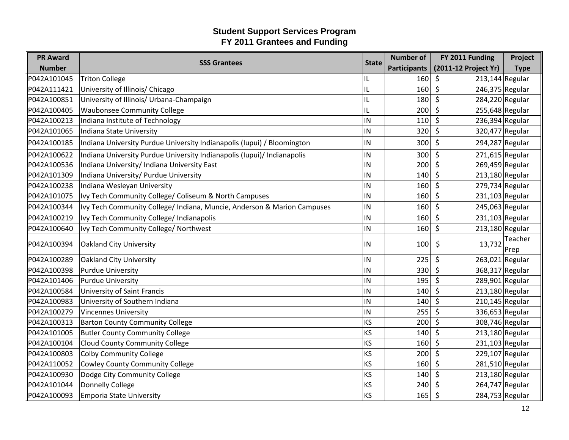| <b>PR Award</b> |                                                                         |              | <b>Number of</b>    | FY 2011 Funding              | Project         |
|-----------------|-------------------------------------------------------------------------|--------------|---------------------|------------------------------|-----------------|
| <b>Number</b>   | <b>SSS Grantees</b>                                                     | <b>State</b> | <b>Participants</b> | (2011-12 Project Yr)         | <b>Type</b>     |
| P042A101045     | <b>Triton College</b>                                                   | IL           | 160                 | $213,144$ Regular<br>\$      |                 |
| P042A111421     | University of Illinois/ Chicago                                         | IL           | 160                 | \$<br>246,375 Regular        |                 |
| P042A100851     | University of Illinois/ Urbana-Champaign                                | IL           | 180                 | $\zeta$<br>284,220 Regular   |                 |
| P042A100405     | <b>Waubonsee Community College</b>                                      | IL           | 200                 | $\zeta$<br>255,648 Regular   |                 |
| P042A100213     | Indiana Institute of Technology                                         | IN           | 110                 | $\zeta$<br>236,394 Regular   |                 |
| P042A101065     | Indiana State University                                                | IN           | 320                 | 320,477 Regular<br>\$        |                 |
| P042A100185     | Indiana University Purdue University Indianapolis (Iupui) / Bloomington | IN           | 300                 | \$<br>294,287 Regular        |                 |
| P042A100622     | Indiana University Purdue University Indianapolis (Iupui)/ Indianapolis | IN           | 300                 | \$<br>$271,615$ Regular      |                 |
| P042A100536     | Indiana University/ Indiana University East                             | IN           | 200                 | \$<br>269,459 Regular        |                 |
| P042A101309     | Indiana University/ Purdue University                                   | IN           | 140                 | \$<br>$213,180$ Regular      |                 |
| P042A100238     | Indiana Wesleyan University                                             | IN           | 160                 | $\zeta$<br>279,734 Regular   |                 |
| P042A101075     | Ivy Tech Community College/ Coliseum & North Campuses                   | IN           | 160                 | \$<br>$231,103$ Regular      |                 |
| P042A100344     | Ivy Tech Community College/ Indiana, Muncie, Anderson & Marion Campuses | IN           | 160                 | \$<br>245,063 Regular        |                 |
| P042A100219     | Ivy Tech Community College/ Indianapolis                                | IN           | 160                 | $\zeta$<br>$231,103$ Regular |                 |
| P042A100640     | Ivy Tech Community College/ Northwest                                   | IN           | 160                 | $\zeta$<br>$213,180$ Regular |                 |
| P042A100394     | Oakland City University                                                 | IN           | 100                 | 13,732<br>\$                 | Teacher<br>Prep |
| P042A100289     | Oakland City University                                                 | IN           | 225                 | $\zeta$<br>263,021 Regular   |                 |
| P042A100398     | <b>Purdue University</b>                                                | IN           | 330                 | $\zeta$<br>368,317 Regular   |                 |
| P042A101406     | <b>Purdue University</b>                                                | IN           | 195                 | $\zeta$<br>289,901 Regular   |                 |
| P042A100584     | University of Saint Francis                                             | IN           | 140                 | $213,180$ Regular<br>Ŝ.      |                 |
| P042A100983     | University of Southern Indiana                                          | IN           | 140                 | Ŝ.<br>210,145 Regular        |                 |
| P042A100279     | <b>Vincennes University</b>                                             | IN           | 255                 | $\zeta$<br>336,653 Regular   |                 |
| P042A100313     | <b>Barton County Community College</b>                                  | KS           | 200                 | $\zeta$<br>308,746 Regular   |                 |
| P042A101005     | <b>Butler County Community College</b>                                  | <b>KS</b>    | 140                 | \$<br>$213,180$ Regular      |                 |
| P042A100104     | <b>Cloud County Community College</b>                                   | KS           | 160                 | \$<br>$231,103$ Regular      |                 |
| P042A100803     | <b>Colby Community College</b>                                          | <b>KS</b>    | 200                 | $\zeta$<br>229,107 Regular   |                 |
| P042A110052     | <b>Cowley County Community College</b>                                  | <b>KS</b>    | 160                 | $\zeta$<br>$281,510$ Regular |                 |
| P042A100930     | Dodge City Community College                                            | KS           | 140                 | \$<br>$213,180$ Regular      |                 |
| P042A101044     | <b>Donnelly College</b>                                                 | KS           | 240                 | Ŝ.<br>264,747 Regular        |                 |
| P042A100093     | <b>Emporia State University</b>                                         | <b>KS</b>    | 165                 | \$<br>284,753 Regular        |                 |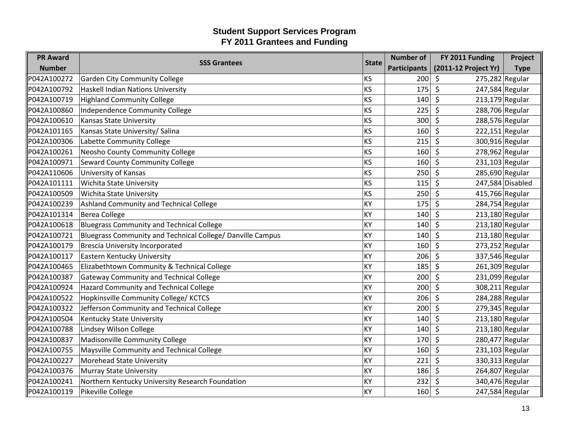| <b>PR Award</b> | <b>SSS Grantees</b>                                        | <b>State</b> | <b>Number of</b>    | FY 2011 Funding              | Project          |
|-----------------|------------------------------------------------------------|--------------|---------------------|------------------------------|------------------|
| <b>Number</b>   |                                                            |              | <b>Participants</b> | (2011-12 Project Yr)         | <b>Type</b>      |
| P042A100272     | <b>Garden City Community College</b>                       | <b>KS</b>    | 200                 | \$<br>275,282 Regular        |                  |
| P042A100792     | <b>Haskell Indian Nations University</b>                   | KS           | 175                 | \$<br>247,584 Regular        |                  |
| P042A100719     | <b>Highland Community College</b>                          | KS           | 140                 | \$<br>$213,179$ Regular      |                  |
| P042A100860     | Independence Community College                             | KS           | 225                 | $\zeta$<br>288,706 Regular   |                  |
| P042A100610     | Kansas State University                                    | <b>KS</b>    | 300                 | $\zeta$<br>288,576 Regular   |                  |
| P042A101165     | Kansas State University/ Salina                            | KS           | 160                 | $222,151$ Regular<br>\$      |                  |
| P042A100306     | Labette Community College                                  | <b>KS</b>    | 215                 | \$<br>300,916 Regular        |                  |
| P042A100261     | Neosho County Community College                            | KS           | 160                 | $\zeta$<br>278,962 Regular   |                  |
| P042A100971     | <b>Seward County Community College</b>                     | <b>KS</b>    | 160                 | $\zeta$<br>231,103 Regular   |                  |
| P042A110606     | University of Kansas                                       | KS           | 250                 | \$<br>285,690 Regular        |                  |
| P042A101111     | Wichita State University                                   | <b>KS</b>    | 115                 | \$                           | 247,584 Disabled |
| P042A100509     | <b>Wichita State University</b>                            | KS           | 250                 | $\zeta$<br>415,766 Regular   |                  |
| P042A100239     | Ashland Community and Technical College                    | <b>KY</b>    | 175                 | $\zeta$<br>284,754 Regular   |                  |
| P042A101314     | <b>Berea College</b>                                       | KY           | 140                 | \$<br>$213,180$ Regular      |                  |
| P042A100618     | <b>Bluegrass Community and Technical College</b>           | KY           | 140                 | \$<br>$213,180$ Regular      |                  |
| P042A100721     | Bluegrass Community and Technical College/ Danville Campus | KY           | 140                 | $\zeta$<br>$213,180$ Regular |                  |
| P042A100179     | <b>Brescia University Incorporated</b>                     | <b>KY</b>    | 160                 | $\zeta$<br>273,252 Regular   |                  |
| P042A100117     | Eastern Kentucky University                                | KY           | 206                 | \$<br>337,546 Regular        |                  |
| P042A100465     | Elizabethtown Community & Technical College                | KY           | 185                 | \$<br>261,309 Regular        |                  |
| P042A100387     | <b>Gateway Community and Technical College</b>             | KY           | 200                 | $\zeta$<br>231,099 Regular   |                  |
| P042A100924     | Hazard Community and Technical College                     | KY           | 200                 | $\zeta$<br>308,211 Regular   |                  |
| P042A100522     | Hopkinsville Community College/KCTCS                       | KY           | 206                 | \$<br>284,288 Regular        |                  |
| P042A100322     | Jefferson Community and Technical College                  | KY           | 200                 | $\zeta$<br>279,345 Regular   |                  |
| P042A100504     | Kentucky State University                                  | KY           | 140                 | $213,180$ Regular<br>$\zeta$ |                  |
| P042A100788     | Lindsey Wilson College                                     | KY           | 140                 | $\zeta$<br>$213,180$ Regular |                  |
| P042A100837     | Madisonville Community College                             | KY           | 170                 | \$<br>280,477 Regular        |                  |
| P042A100755     | Maysville Community and Technical College                  | KY           | 160                 | \$<br>231,103 Regular        |                  |
| P042A100227     | <b>Morehead State University</b>                           | KY           | 221                 | \$<br>330,313 Regular        |                  |
| P042A100376     | Murray State University                                    | KY           | 186                 | $\zeta$<br>264,807 Regular   |                  |
| P042A100241     | Northern Kentucky University Research Foundation           | KY           | 232                 | 340,476 Regular<br>\$        |                  |
| P042A100119     | Pikeville College                                          | <b>KY</b>    | 160                 | \$<br>247,584 Regular        |                  |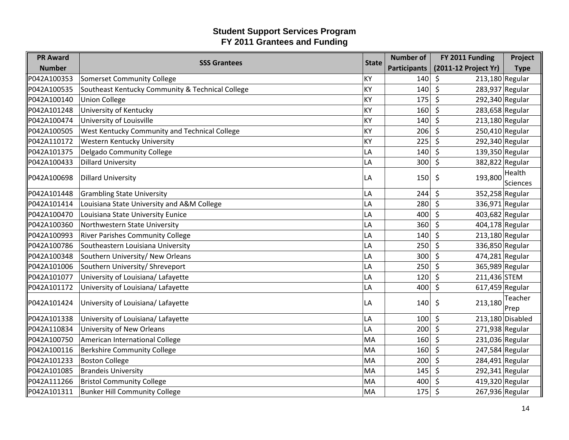| <b>PR Award</b> |                                                  | <b>State</b> | <b>Number of</b>    | FY 2011 Funding              | Project            |
|-----------------|--------------------------------------------------|--------------|---------------------|------------------------------|--------------------|
| <b>Number</b>   | <b>SSS Grantees</b>                              |              | <b>Participants</b> | (2011-12 Project Yr)         | <b>Type</b>        |
| P042A100353     | <b>Somerset Community College</b>                | KY           | 140                 | $213,180$ Regular<br>$\zeta$ |                    |
| P042A100535     | Southeast Kentucky Community & Technical College | KY           | 140                 | 283,937 Regular<br>\$        |                    |
| P042A100140     | <b>Union College</b>                             | kY           | 175                 | $\zeta$<br>292,340 Regular   |                    |
| P042A101248     | University of Kentucky                           | KY           | 160                 | $\zeta$<br>$283,658$ Regular |                    |
| P042A100474     | University of Louisville                         | KY           | 140                 | $\zeta$<br>213,180 Regular   |                    |
| P042A100505     | West Kentucky Community and Technical College    | KY           | 206                 | 250,410 Regular<br>\$        |                    |
| P042A110172     | Western Kentucky University                      | KY           | 225                 | $\zeta$<br>292,340 Regular   |                    |
| P042A101375     | Delgado Community College                        | LA           | 140                 | 139,350 Regular<br>$\zeta$   |                    |
| P042A100433     | <b>Dillard University</b>                        | LA           | 300                 | $\zeta$<br>382,822 Regular   |                    |
| P042A100698     | <b>Dillard University</b>                        | LA           | 150                 | 193,800<br>\$                | Health             |
|                 |                                                  |              |                     |                              | Sciences           |
| P042A101448     | <b>Grambling State University</b>                | LA           | 244                 | $\zeta$<br>352,258 Regular   |                    |
| P042A101414     | Louisiana State University and A&M College       | LA           | 280                 | $\zeta$<br>336,971 Regular   |                    |
| P042A100470     | Louisiana State University Eunice                | LA           | 400                 | 403,682 Regular<br>\$        |                    |
| P042A100360     | Northwestern State University                    | LA           | 360                 | $\zeta$<br>404,178 Regular   |                    |
| P042A100993     | <b>River Parishes Community College</b>          | LA           | 140                 | $213,180$ Regular<br>\$      |                    |
| P042A100786     | Southeastern Louisiana University                | LA           | 250                 | $\zeta$<br>336,850 Regular   |                    |
| P042A100348     | Southern University/ New Orleans                 | LA           | 300                 | \$<br>474,281 Regular        |                    |
| P042A101006     | Southern University/ Shreveport                  | LA           | 250                 | $\zeta$<br>365,989 Regular   |                    |
| P042A101077     | University of Louisiana/ Lafayette               | LA           | 120                 | $\zeta$<br>211,436 STEM      |                    |
| P042A101172     | University of Louisiana/ Lafayette               | LA           | 400                 | $\zeta$<br>$617,459$ Regular |                    |
| P042A101424     | University of Louisiana/ Lafayette               | LA           | 140                 | \$<br>213,180                | Teacher            |
|                 |                                                  |              |                     |                              | Prep               |
| P042A101338     | University of Louisiana/ Lafayette               | LA           | 100                 | $\zeta$                      | $213,180$ Disabled |
| P042A110834     | University of New Orleans                        | LA           | 200                 | $\zeta$<br>271,938 Regular   |                    |
| P042A100750     | American International College                   | MA           | 160                 | \$<br>231,036 Regular        |                    |
| P042A100116     | <b>Berkshire Community College</b>               | MA           | 160                 | $\zeta$<br>247,584 Regular   |                    |
| P042A101233     | <b>Boston College</b>                            | MA           | 200                 | \$<br>284,491 Regular        |                    |
| P042A101085     | <b>Brandeis University</b>                       | MA           | 145                 | $\zeta$<br>292,341 Regular   |                    |
| P042A111266     | <b>Bristol Community College</b>                 | MA           | 400                 | 419,320 Regular<br>\$        |                    |
| P042A101311     | <b>Bunker Hill Community College</b>             | MA           | 175                 | \$<br>267,936 Regular        |                    |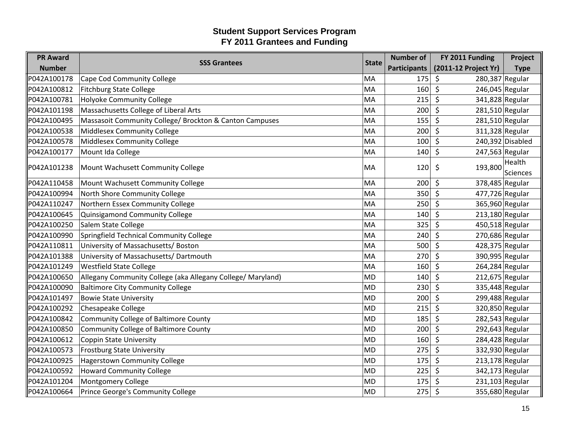| <b>PR Award</b> | <b>SSS Grantees</b>                                         | <b>State</b> | <b>Number of</b>    | FY 2011 Funding              | Project          |
|-----------------|-------------------------------------------------------------|--------------|---------------------|------------------------------|------------------|
| <b>Number</b>   |                                                             |              | <b>Participants</b> | (2011-12 Project Yr)         | <b>Type</b>      |
| P042A100178     | Cape Cod Community College                                  | MA           | 175                 | 280,387 Regular<br>\$        |                  |
| P042A100812     | <b>Fitchburg State College</b>                              | MA           | 160                 | $\zeta$<br>246,045 Regular   |                  |
| P042A100781     | Holyoke Community College                                   | MA           | 215                 | $\zeta$<br>341,828 Regular   |                  |
| P042A101198     | Massachusetts College of Liberal Arts                       | MA           | 200                 | $\zeta$<br>281,510 Regular   |                  |
| P042A100495     | Massasoit Community College/ Brockton & Canton Campuses     | MA           | 155                 | $\zeta$<br>281,510 Regular   |                  |
| P042A100538     | Middlesex Community College                                 | MA           | 200                 | \$<br>311,328 Regular        |                  |
| P042A100578     | Middlesex Community College                                 | MA           | 100                 | $\zeta$                      | 240,392 Disabled |
| P042A100177     | Mount Ida College                                           | MA           | 140                 | $\zeta$<br>247,563 Regular   |                  |
| P042A101238     |                                                             | MA           | 120                 | 193,800<br>\$                | Health           |
|                 | Mount Wachusett Community College                           |              |                     |                              | <b>Sciences</b>  |
| P042A110458     | Mount Wachusett Community College                           | MA           | 200                 | \$<br>378,485 Regular        |                  |
| P042A100994     | North Shore Community College                               | MA           | 350                 | $\zeta$<br>477,726 Regular   |                  |
| P042A110247     | Northern Essex Community College                            | MA           | 250                 | $\zeta$<br>365,960 Regular   |                  |
| P042A100645     | Quinsigamond Community College                              | MA           | 140                 | $213,180$ Regular<br>\$      |                  |
| P042A100250     | Salem State College                                         | MA           | 325                 | 450,518 Regular<br>\$        |                  |
| P042A100990     | Springfield Technical Community College                     | MA           | 240                 | $\zeta$<br>270,686 Regular   |                  |
| P042A110811     | University of Massachusetts/ Boston                         | MA           | 500                 | $\zeta$<br>428,375 Regular   |                  |
| P042A101388     | University of Massachusetts/ Dartmouth                      | MA           | 270                 | $\zeta$<br>390,995 Regular   |                  |
| P042A101249     | <b>Westfield State College</b>                              | MA           | 160                 | $\zeta$<br>264,284 Regular   |                  |
| P042A100650     | Allegany Community College (aka Allegany College/ Maryland) | MD           | 140                 | $\zeta$<br>$212,675$ Regular |                  |
| P042A100090     | <b>Baltimore City Community College</b>                     | MD           | 230                 | $\zeta$<br>335,448 Regular   |                  |
| P042A101497     | <b>Bowie State University</b>                               | MD           | 200                 | $\zeta$<br>299,488 Regular   |                  |
| P042A100292     | <b>Chesapeake College</b>                                   | MD           | 215                 | \$<br>320,850 Regular        |                  |
| P042A100842     | <b>Community College of Baltimore County</b>                | MD           | 185                 | $\zeta$<br>282,543 Regular   |                  |
| P042A100850     | <b>Community College of Baltimore County</b>                | MD           | 200                 | $\zeta$<br>$292,643$ Regular |                  |
| P042A100612     | <b>Coppin State University</b>                              | MD           | 160                 | $\zeta$<br>284,428 Regular   |                  |
| P042A100573     | <b>Frostburg State University</b>                           | MD           | 275                 | \$<br>332,930 Regular        |                  |
| P042A100925     | <b>Hagerstown Community College</b>                         | MD           | 175                 | $\zeta$<br>$213,178$ Regular |                  |
| P042A100592     | <b>Howard Community College</b>                             | MD           | 225                 | $\zeta$<br>342,173 Regular   |                  |
| P042A101204     | Montgomery College                                          | <b>MD</b>    | 175                 | 231,103 Regular<br>\$        |                  |
| P042A100664     | Prince George's Community College                           | MD           | 275                 | 355,680 Regular<br>\$        |                  |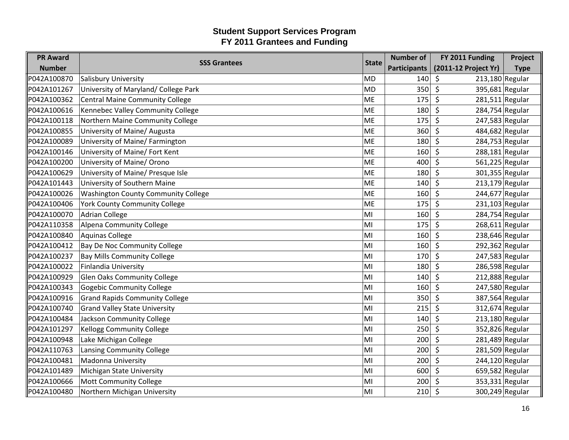| <b>PR Award</b> | <b>SSS Grantees</b>                        | <b>State</b> | <b>Number of</b>    | FY 2011 Funding              | Project     |
|-----------------|--------------------------------------------|--------------|---------------------|------------------------------|-------------|
| <b>Number</b>   |                                            |              | <b>Participants</b> | (2011-12 Project Yr)         | <b>Type</b> |
| P042A100870     | Salisbury University                       | MD!          | 140                 | $213,180$ Regular<br>\$      |             |
| P042A101267     | University of Maryland/ College Park       | <b>MD</b>    | 350                 | \$<br>395,681 Regular        |             |
| P042A100362     | <b>Central Maine Community College</b>     | ME           | 175                 | $\zeta$<br>$281,511$ Regular |             |
| P042A100616     | Kennebec Valley Community College          | ME           | 180                 | $\zeta$<br>284,754 Regular   |             |
| P042A100118     | Northern Maine Community College           | ME           | 175                 | $\zeta$<br>247,583 Regular   |             |
| P042A100855     | University of Maine/ Augusta               | ME           | 360                 | 484,682 Regular<br>\$        |             |
| P042A100089     | University of Maine/ Farmington            | ME           | 180                 | 284,753 Regular<br>\$        |             |
| P042A100146     | University of Maine/ Fort Kent             | ME           | 160                 | $\zeta$<br>$288,181$ Regular |             |
| P042A100200     | University of Maine/ Orono                 | ME           | 400                 | $\zeta$<br>561,225 Regular   |             |
| P042A100629     | University of Maine/ Presque Isle          | ME           | 180                 | 301,355 Regular<br>\$        |             |
| P042A101443     | University of Southern Maine               | ME           | 140                 | \$<br>213,179 Regular        |             |
| P042A100026     | <b>Washington County Community College</b> | ME           | 160                 | $\zeta$<br>244,677 Regular   |             |
| P042A100406     | <b>York County Community College</b>       | ME           | 175                 | $231,103$ Regular<br>\$      |             |
| P042A100070     | <b>Adrian College</b>                      | MI           | 160                 | 284,754 Regular<br>\$        |             |
| P042A110358     | Alpena Community College                   | MI           | 175                 | 268,611 Regular<br>\$        |             |
| P042A100840     | <b>Aquinas College</b>                     | MI           | 160                 | $\zeta$<br>238,646 Regular   |             |
| P042A100412     | Bay De Noc Community College               | MI           | 160                 | 292,362 Regular<br>\$        |             |
| P042A100237     | <b>Bay Mills Community College</b>         | MI           | 170                 | 247,583 Regular<br>\$        |             |
| P042A100022     | Finlandia University                       | MI           | 180                 | 286,598 Regular<br>\$        |             |
| P042A100929     | <b>Glen Oaks Community College</b>         | MI           | 140                 | $\zeta$<br>$212,888$ Regular |             |
| P042A100343     | <b>Gogebic Community College</b>           | MI           | 160                 | 247,580 Regular<br>\$        |             |
| P042A100916     | <b>Grand Rapids Community College</b>      | MI           | 350                 | 387,564 Regular<br>\$        |             |
| P042A100740     | <b>Grand Valley State University</b>       | MI           | 215                 | \$<br>312,674 Regular        |             |
| P042A100484     | Jackson Community College                  | MI           | 140                 | $213,180$ Regular<br>$\zeta$ |             |
| P042A101297     | <b>Kellogg Community College</b>           | MI           | 250                 | 352,826 Regular<br>\$        |             |
| P042A100948     | Lake Michigan College                      | MI           | 200                 | 281,489 Regular<br>\$        |             |
| P042A110763     | Lansing Community College                  | MI           | 200                 | $\zeta$<br>281,509 Regular   |             |
| P042A100481     | <b>Madonna University</b>                  | MI           | 200                 | 244,120 Regular<br>\$        |             |
| P042A101489     | <b>Michigan State University</b>           | MI           | 600                 | 659,582 Regular<br>\$        |             |
| P042A100666     | <b>Mott Community College</b>              | MI           | 200                 | 353,331 Regular<br>-\$       |             |
| P042A100480     | Northern Michigan University               | MI           | 210                 | \$<br>300,249 Regular        |             |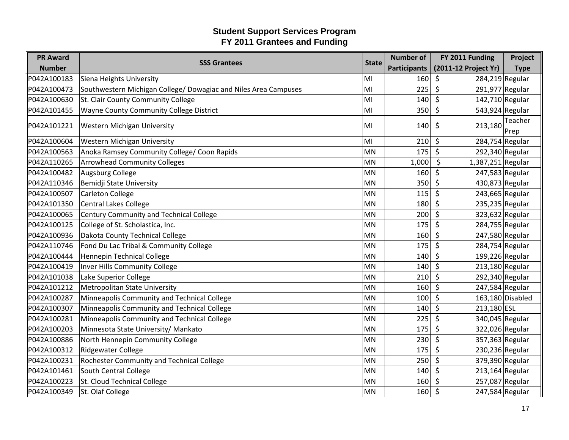| <b>PR Award</b> | <b>SSS Grantees</b>                                             | <b>State</b> | <b>Number of</b>    | FY 2011 Funding              | Project          |
|-----------------|-----------------------------------------------------------------|--------------|---------------------|------------------------------|------------------|
| <b>Number</b>   |                                                                 |              | <b>Participants</b> | (2011-12 Project Yr)         | <b>Type</b>      |
| P042A100183     | Siena Heights University                                        | MI           | 160                 | 284,219 Regular<br>\$        |                  |
| P042A100473     | Southwestern Michigan College/ Dowagiac and Niles Area Campuses | MI           | 225                 | $\zeta$<br>291,977 Regular   |                  |
| P042A100630     | St. Clair County Community College                              | MI           | 140                 | $\zeta$<br>142,710 Regular   |                  |
| P042A101455     | Wayne County Community College District                         | MI           | 350                 | $\zeta$<br>543,924 Regular   |                  |
| P042A101221     | Western Michigan University                                     | MI           | 140                 | 213,180<br>\$                | Teacher<br>Prep  |
| P042A100604     | Western Michigan University                                     | MI           | 210                 | $\zeta$<br>284,754 Regular   |                  |
| P042A100563     | Anoka Ramsey Community College/ Coon Rapids                     | MN           | 175                 | $\zeta$<br>292,340 Regular   |                  |
| P042A110265     | <b>Arrowhead Community Colleges</b>                             | MN           | 1,000               | \$<br>1,387,251 Regular      |                  |
| P042A100482     | <b>Augsburg College</b>                                         | MN           | 160                 | \$<br>247,583 Regular        |                  |
| P042A110346     | Bemidji State University                                        | MN           | 350                 | $\zeta$<br>430,873 Regular   |                  |
| P042A100507     | <b>Carleton College</b>                                         | MN           | 115                 | \$<br>243,665 Regular        |                  |
| P042A101350     | <b>Central Lakes College</b>                                    | MN           | 180                 | $\zeta$<br>235,235 Regular   |                  |
| P042A100065     | <b>Century Community and Technical College</b>                  | <b>MN</b>    | 200                 | 323,632 Regular<br>\$        |                  |
| P042A100125     | College of St. Scholastica, Inc.                                | MN           | 175                 | $\zeta$<br>284,755 Regular   |                  |
| P042A100936     | Dakota County Technical College                                 | MN           | 160                 | \$<br>247,580 Regular        |                  |
| P042A110746     | Fond Du Lac Tribal & Community College                          | MN           | 175                 | $\zeta$<br>284,754 Regular   |                  |
| P042A100444     | Hennepin Technical College                                      | MN           | 140                 | \$<br>199,226 Regular        |                  |
| P042A100419     | <b>Inver Hills Community College</b>                            | MN           | 140                 | \$<br>213,180 Regular        |                  |
| P042A101038     | Lake Superior College                                           | MN           | 210                 | $\zeta$<br>292,340 Regular   |                  |
| P042A101212     | <b>Metropolitan State University</b>                            | MN           | 160                 | $\zeta$<br>247,584 Regular   |                  |
| P042A100287     | Minneapolis Community and Technical College                     | MN           | 100                 | $\zeta$                      | 163,180 Disabled |
| P042A100307     | Minneapolis Community and Technical College                     | MN           | 140                 | \$<br>213,180 ESL            |                  |
| P042A100281     | Minneapolis Community and Technical College                     | MN           | 225                 | $\zeta$<br>340,045 Regular   |                  |
| P042A100203     | Minnesota State University/ Mankato                             | MN           | 175                 | $\zeta$<br>322,026 Regular   |                  |
| P042A100886     | North Hennepin Community College                                | MN           | 230                 | \$<br>357,363 Regular        |                  |
| P042A100312     | <b>Ridgewater College</b>                                       | MN           | 175                 | \$<br>230,236 Regular        |                  |
| P042A100231     | Rochester Community and Technical College                       | MN           | 250                 | $\zeta$<br>379,390 Regular   |                  |
| P042A101461     | South Central College                                           | MN           | 140                 | $\zeta$<br>$213,164$ Regular |                  |
| P042A100223     | St. Cloud Technical College                                     | <b>MN</b>    | 160                 | 257,087 Regular<br>\$        |                  |
| P042A100349     | St. Olaf College                                                | MN           | 160                 | \$<br>247,584 Regular        |                  |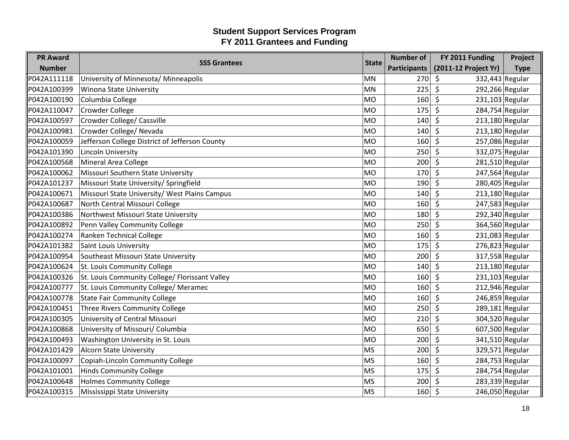| <b>PR Award</b> | <b>SSS Grantees</b>                            | <b>State</b> | <b>Number of</b>    | FY 2011 Funding              | Project     |
|-----------------|------------------------------------------------|--------------|---------------------|------------------------------|-------------|
| <b>Number</b>   |                                                |              | <b>Participants</b> | (2011-12 Project Yr)         | <b>Type</b> |
| P042A111118     | University of Minnesota/ Minneapolis           | MN           | 270                 | 332,443 Regular<br>\$        |             |
| P042A100399     | <b>Winona State University</b>                 | <b>MN</b>    | 225                 | \$<br>292,266 Regular        |             |
| P042A100190     | Columbia College                               | MO           | 160                 | \$<br>231,103 Regular        |             |
| P042A110047     | <b>Crowder College</b>                         | MO           | 175                 | $\zeta$<br>284,754 Regular   |             |
| P042A100597     | Crowder College/ Cassville                     | MO           | 140                 | $\zeta$<br>$213,180$ Regular |             |
| P042A100981     | Crowder College/ Nevada                        | <b>MO</b>    | 140                 | 213,180 Regular<br>\$        |             |
| P042A100059     | Jefferson College District of Jefferson County | MO           | 160                 | $\zeta$<br>257,086 Regular   |             |
| P042A101390     | Lincoln University                             | MO           | 250                 | 332,075 Regular<br>$\zeta$   |             |
| P042A100568     | Mineral Area College                           | MO           | 200                 | $\zeta$<br>281,510 Regular   |             |
| P042A100062     | Missouri Southern State University             | <b>MO</b>    | 170                 | 247,564 Regular<br>\$        |             |
| P042A101237     | Missouri State University/ Springfield         | MO           | 190                 | $\zeta$<br>280,405 Regular   |             |
| P042A100671     | Missouri State University/ West Plains Campus  | MO           | 140                 | $213,180$ Regular<br>$\zeta$ |             |
| P042A100687     | North Central Missouri College                 | MO           | 160                 | $\zeta$<br>247,583 Regular   |             |
| P042A100386     | Northwest Missouri State University            | <b>MO</b>    | 180                 | 292,340 Regular<br>\$        |             |
| P042A100892     | Penn Valley Community College                  | MO           | 250                 | $\zeta$<br>364,560 Regular   |             |
| P042A100274     | Ranken Technical College                       | <b>MO</b>    | 160                 | \$<br>231,083 Regular        |             |
| P042A101382     | <b>Saint Louis University</b>                  | MO           | 175                 | $\zeta$<br>276,823 Regular   |             |
| P042A100954     | Southeast Missouri State University            | <b>MO</b>    | 200                 | \$<br>317,558 Regular        |             |
| P042A100624     | St. Louis Community College                    | MO           | 140                 | $\zeta$<br>$213,180$ Regular |             |
| P042A100326     | St. Louis Community College/ Florissant Valley | lMO          | 160                 | $\zeta$<br>$231,103$ Regular |             |
| P042A100777     | St. Louis Community College/ Meramec           | MO           | 160                 | \$<br>212,946 Regular        |             |
| P042A100778     | <b>State Fair Community College</b>            | <b>MO</b>    | 160                 | 246,859 Regular<br>\$        |             |
| P042A100451     | Three Rivers Community College                 | MO           | 250                 | $\zeta$<br>289,181 Regular   |             |
| P042A100305     | University of Central Missouri                 | MO           | 210                 | 304,520 Regular<br>$\zeta$   |             |
| P042A100868     | University of Missouri/ Columbia               | MO           | 650                 | $\zeta$<br>607,500 Regular   |             |
| P042A100493     | Washington University in St. Louis             | <b>MO</b>    | 200                 | \$<br>341,510 Regular        |             |
| P042A101429     | <b>Alcorn State University</b>                 | MS           | 200                 | $\zeta$<br>329,571 Regular   |             |
| P042A100097     | Copiah-Lincoln Community College               | MS           | 160                 | $\zeta$<br>284,753 Regular   |             |
| P042A101001     | <b>Hinds Community College</b>                 | <b>MS</b>    | 175                 | $\zeta$<br>284,754 Regular   |             |
| P042A100648     | <b>Holmes Community College</b>                | <b>MS</b>    | 200                 | 283,339 Regular<br>\$        |             |
| P042A100315     | Mississippi State University                   | MS           | 160                 | $\zeta$<br>246,050 Regular   |             |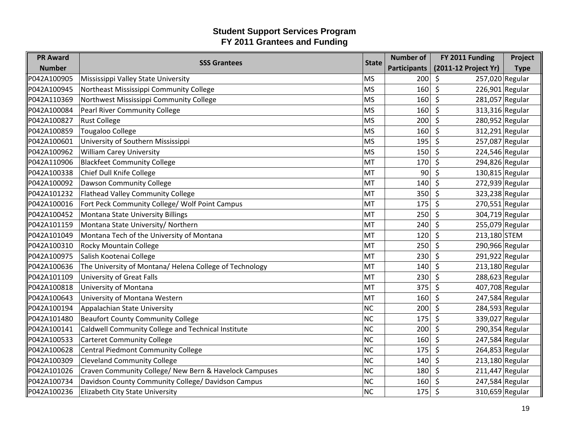| <b>PR Award</b> |                                                         | <b>State</b> | <b>Number of</b>    | FY 2011 Funding              | Project     |
|-----------------|---------------------------------------------------------|--------------|---------------------|------------------------------|-------------|
| <b>Number</b>   | <b>SSS Grantees</b>                                     |              | <b>Participants</b> | (2011-12 Project Yr)         | <b>Type</b> |
| P042A100905     | Mississippi Valley State University                     | MS           | 200                 | 257,020 Regular<br>\$        |             |
| P042A100945     | Northeast Mississippi Community College                 | <b>MS</b>    | 160                 | \$<br>226,901 Regular        |             |
| P042A110369     | Northwest Mississippi Community College                 | MS           | 160                 | $\zeta$<br>281,057 Regular   |             |
| P042A100084     | <b>Pearl River Community College</b>                    | <b>MS</b>    | 160                 | $\zeta$<br>313,316 Regular   |             |
| P042A100827     | <b>Rust College</b>                                     | MS           | 200                 | $\zeta$<br>280,952 Regular   |             |
| P042A100859     | <b>Tougaloo College</b>                                 | <b>MS</b>    | 160                 | 312,291 Regular<br>\$        |             |
| P042A100601     | University of Southern Mississippi                      | MS           | 195                 | \$<br>257,087 Regular        |             |
| P042A100962     | <b>William Carey University</b>                         | MS           | 150                 | $\zeta$<br>224,546 Regular   |             |
| P042A110906     | <b>Blackfeet Community College</b>                      | ∣мт          | 170                 | $\zeta$<br>294,826 Regular   |             |
| P042A100338     | Chief Dull Knife College                                | MT           | 90                  | 130,815 Regular<br>\$        |             |
| P042A100092     | Dawson Community College                                | MT           | 140                 | $\zeta$<br>272,939 Regular   |             |
| P042A101232     | <b>Flathead Valley Community College</b>                | MT           | 350                 | $\zeta$<br>323,238 Regular   |             |
| P042A100016     | Fort Peck Community College/ Wolf Point Campus          | MT           | 175                 | $\zeta$<br>$270,551$ Regular |             |
| P042A100452     | Montana State University Billings                       | <b>MT</b>    | 250                 | 304,719 Regular<br>$\zeta$   |             |
| P042A101159     | Montana State University/ Northern                      | MT           | 240                 | $\zeta$<br>255,079 Regular   |             |
| P042A101049     | Montana Tech of the University of Montana               | MT           | 120                 | \$<br>213,180 STEM           |             |
| P042A100310     | Rocky Mountain College                                  | MT           | 250                 | $\zeta$<br>290,966 Regular   |             |
| P042A100975     | Salish Kootenai College                                 | <b>MT</b>    | 230                 | \$<br>291,922 Regular        |             |
| P042A100636     | The University of Montana/ Helena College of Technology | MT           | 140                 | $\zeta$<br>213,180 Regular   |             |
| P042A101109     | <b>University of Great Falls</b>                        | MT           | 230                 | \$<br>288,623 Regular        |             |
| P042A100818     | University of Montana                                   | MT           | 375                 | 407,708 Regular<br>$\zeta$   |             |
| P042A100643     | University of Montana Western                           | <b>MT</b>    | 160                 | \$<br>247,584 Regular        |             |
| P042A100194     | Appalachian State University                            | NC           | 200                 | 284,593 Regular<br>\$        |             |
| P042A101480     | <b>Beaufort County Community College</b>                | NC           | 175                 | $\zeta$<br>339,027 Regular   |             |
| P042A100141     | Caldwell Community College and Technical Institute      | NC           | 200                 | \$<br>290,354 Regular        |             |
| P042A100533     | <b>Carteret Community College</b>                       | NC           | 160                 | \$<br>247,584 Regular        |             |
| P042A100628     | <b>Central Piedmont Community College</b>               | NC           | 175                 | \$<br>264,853 Regular        |             |
| P042A100309     | <b>Cleveland Community College</b>                      | NC           | 140                 | $\zeta$<br>213,180 Regular   |             |
| P042A101026     | Craven Community College/ New Bern & Havelock Campuses  | NC           | 180                 | $211,447$ Regular<br>$\zeta$ |             |
| P042A100734     | Davidson County Community College/ Davidson Campus      | NC           | 160                 | 247,584 Regular<br>\$        |             |
| P042A100236     | Elizabeth City State University                         | NC           | 175                 | 310,659 Regular<br>\$        |             |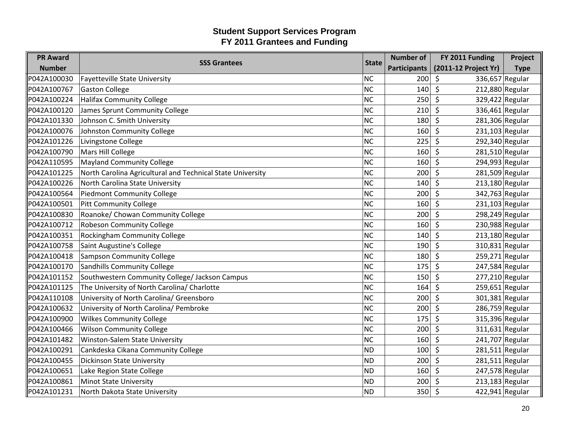| <b>PR Award</b> |                                                            |              | <b>Number of</b>    | FY 2011 Funding              | Project     |
|-----------------|------------------------------------------------------------|--------------|---------------------|------------------------------|-------------|
| <b>Number</b>   | <b>SSS Grantees</b>                                        | <b>State</b> | <b>Participants</b> | (2011-12 Project Yr)         | <b>Type</b> |
| P042A100030     | <b>Fayetteville State University</b>                       | NC           | 200                 | 336,657 Regular<br>\$        |             |
| P042A100767     | <b>Gaston College</b>                                      | NC           | 140                 | \$<br>212,880 Regular        |             |
| P042A100224     | <b>Halifax Community College</b>                           | NC           | 250                 | $\zeta$<br>329,422 Regular   |             |
| P042A100120     | James Sprunt Community College                             | NC           | 210                 | $\zeta$<br>336,461 Regular   |             |
| P042A101330     | Johnson C. Smith University                                | NC           | 180                 | $\zeta$<br>281,306 Regular   |             |
| P042A100076     | Johnston Community College                                 | NC           | 160                 | $231,103$ Regular<br>\$      |             |
| P042A101226     | Livingstone College                                        | <b>NC</b>    | 225                 | 292,340 Regular<br>\$        |             |
| P042A100790     | Mars Hill College                                          | NC           | 160                 | $\zeta$<br>281,510 Regular   |             |
| P042A110595     | <b>Mayland Community College</b>                           | NC           | 160                 | $\zeta$<br>294,993 Regular   |             |
| P042A101225     | North Carolina Agricultural and Technical State University | NC           | 200                 | \$<br>281,509 Regular        |             |
| P042A100226     | North Carolina State University                            | NC           | 140                 | 213,180 Regular<br>\$        |             |
| P042A100564     | <b>Piedmont Community College</b>                          | NC           | 200                 | $\zeta$<br>342,763 Regular   |             |
| P042A100501     | <b>Pitt Community College</b>                              | NC           | 160                 | $\zeta$<br>$231,103$ Regular |             |
| P042A100830     | Roanoke/ Chowan Community College                          | NC           | 200                 | 298,249 Regular<br>S.        |             |
| P042A100712     | <b>Robeson Community College</b>                           | NC           | 160                 | $\zeta$<br>230,988 Regular   |             |
| P042A100351     | Rockingham Community College                               | NC           | 140                 | $213,180$ Regular<br>$\zeta$ |             |
| P042A100758     | Saint Augustine's College                                  | NC           | 190                 | \$<br>310,831 Regular        |             |
| P042A100418     | <b>Sampson Community College</b>                           | NC           | 180                 | 259,271 Regular<br>\$        |             |
| P042A100170     | <b>Sandhills Community College</b>                         | NC           | 175                 | \$<br>247,584 Regular        |             |
| P042A101152     | Southwestern Community College/ Jackson Campus             | NC           | 150                 | $\zeta$<br>$277,210$ Regular |             |
| P042A101125     | The University of North Carolina/ Charlotte                | NC           | 164                 | $259,651$ Regular<br>$\zeta$ |             |
| P042A110108     | University of North Carolina/ Greensboro                   | NC           | 200                 | \$<br>301,381 Regular        |             |
| P042A100632     | University of North Carolina/ Pembroke                     | NC           | 200                 | $\zeta$<br>286,759 Regular   |             |
| P042A100900     | <b>Wilkes Community College</b>                            | NC           | 175                 | 315,396 Regular<br>\$        |             |
| P042A100466     | <b>Wilson Community College</b>                            | NC           | 200                 | \$<br>311,631 Regular        |             |
| P042A101482     | Winston-Salem State University                             | NC           | 160                 | \$<br>241,707 Regular        |             |
| P042A100291     | Cankdeska Cikana Community College                         | ND           | 100                 | $\zeta$<br>281,511 Regular   |             |
| P042A100455     | <b>Dickinson State University</b>                          | ND           | 200                 | $281,511$ Regular<br>\$      |             |
| P042A100651     | Lake Region State College                                  | ND           | 160                 | 247,578 Regular<br>\$        |             |
| P042A100861     | <b>Minot State University</b>                              | <b>ND</b>    | 200                 | 213,183 Regular<br>-\$       |             |
| P042A101231     | North Dakota State University                              | ND           | 350                 | 422,941 Regular<br>\$        |             |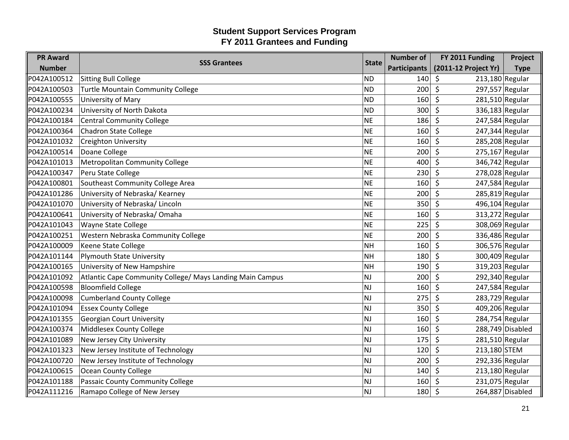| <b>PR Award</b> | <b>SSS Grantees</b>                                       | <b>State</b> | <b>Number of</b>    | FY 2011 Funding                       | Project          |
|-----------------|-----------------------------------------------------------|--------------|---------------------|---------------------------------------|------------------|
| <b>Number</b>   |                                                           |              | <b>Participants</b> | (2011-12 Project Yr)                  | <b>Type</b>      |
| P042A100512     | <b>Sitting Bull College</b>                               | <b>ND</b>    | 140                 | $213,180$ Regular<br>\$               |                  |
| P042A100503     | <b>Turtle Mountain Community College</b>                  | <b>ND</b>    | 200                 | 297,557 Regular<br>\$                 |                  |
| P042A100555     | University of Mary                                        | <b>ND</b>    | 160                 | \$<br>$281,510$ Regular               |                  |
| P042A100234     | University of North Dakota                                | <b>ND</b>    | 300                 | $\zeta$<br>336,183 Regular            |                  |
| P042A100184     | <b>Central Community College</b>                          | <b>NE</b>    | 186                 | \$<br>247,584 Regular                 |                  |
| P042A100364     | <b>Chadron State College</b>                              | <b>NE</b>    | 160                 | 247,344 Regular<br>\$                 |                  |
| P042A101032     | <b>Creighton University</b>                               | <b>NE</b>    | 160                 | $\zeta$<br>285,208 Regular            |                  |
| P042A100514     | Doane College                                             | <b>NE</b>    | 200                 | $\zeta$<br>$275,167$ Regular          |                  |
| P042A101013     | <b>Metropolitan Community College</b>                     | <b>NE</b>    | 400                 | $\zeta$<br>346,742 Regular            |                  |
| P042A100347     | Peru State College                                        | <b>NE</b>    | 230                 | 278,028 Regular<br>\$                 |                  |
| P042A100801     | Southeast Community College Area                          | <b>NE</b>    | 160                 | $\zeta$<br>247,584 Regular            |                  |
| P042A101286     | University of Nebraska/ Kearney                           | <b>NE</b>    | 200                 | $\zeta$<br>285,819 Regular            |                  |
| P042A101070     | University of Nebraska/ Lincoln                           | <b>NE</b>    | 350                 | $\mathsf{\hat{S}}$<br>496,104 Regular |                  |
| P042A100641     | University of Nebraska/Omaha                              | <b>NE</b>    | 160                 | 313,272 Regular<br>\$                 |                  |
| P042A101043     | Wayne State College                                       | <b>NE</b>    | 225                 | 308,069 Regular<br>\$                 |                  |
| P042A100251     | Western Nebraska Community College                        | <b>NE</b>    | 200                 | $\zeta$<br>336,486 Regular            |                  |
| P042A100009     | Keene State College                                       | <b>NH</b>    | 160                 | \$<br>306,576 Regular                 |                  |
| P042A101144     | <b>Plymouth State University</b>                          | <b>NH</b>    | 180                 | 300,409 Regular<br>\$                 |                  |
| P042A100165     | University of New Hampshire                               | <b>NH</b>    | 190                 | \$<br>319,203 Regular                 |                  |
| P042A101092     | Atlantic Cape Community College/ Mays Landing Main Campus | <b>NJ</b>    | 200                 | $\zeta$<br>292,340 Regular            |                  |
| P042A100598     | <b>Bloomfield College</b>                                 | <b>NJ</b>    | 160                 | \$<br>247,584 Regular                 |                  |
| P042A100098     | <b>Cumberland County College</b>                          | <b>NJ</b>    | 275                 | 283,729 Regular<br>\$                 |                  |
| P042A101094     | <b>Essex County College</b>                               | <b>NJ</b>    | 350                 | S.<br>409,206 Regular                 |                  |
| P042A101355     | <b>Georgian Court University</b>                          | <b>NJ</b>    | 160                 | 284,754 Regular<br>\$                 |                  |
| P042A100374     | <b>Middlesex County College</b>                           | <b>NJ</b>    | 160                 | $\zeta$                               | 288,749 Disabled |
| P042A101089     | New Jersey City University                                | <b>NJ</b>    | 175                 | $\zeta$<br>$281,510$ Regular          |                  |
| P042A101323     | New Jersey Institute of Technology                        | <b>NJ</b>    | 120                 | \$<br>213,180 STEM                    |                  |
| P042A100720     | New Jersey Institute of Technology                        | <b>NJ</b>    | 200                 | $\zeta$<br>292,336 Regular            |                  |
| P042A100615     | <b>Ocean County College</b>                               | <b>NJ</b>    | 140                 | $\zeta$<br>$213,180$ Regular          |                  |
| P042A101188     | Passaic County Community College                          | <b>NJ</b>    | 160                 | 231,075 Regular<br>\$                 |                  |
| P042A111216     | Ramapo College of New Jersey                              | <b>NJ</b>    | 180                 | \$                                    | 264,887 Disabled |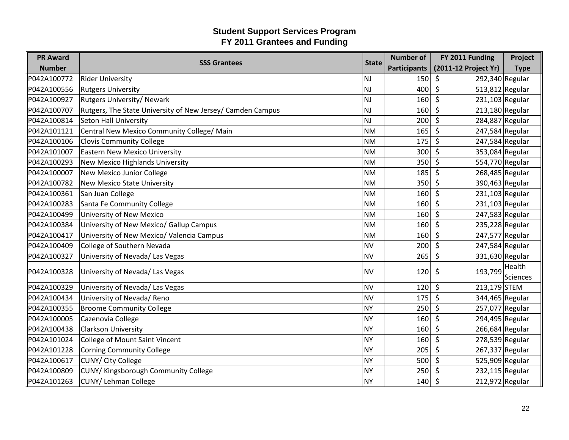| <b>PR Award</b> |                                                            |              | <b>Number of</b>    | FY 2011 Funding              | Project         |
|-----------------|------------------------------------------------------------|--------------|---------------------|------------------------------|-----------------|
| <b>Number</b>   | <b>SSS Grantees</b>                                        | <b>State</b> | <b>Participants</b> | (2011-12 Project Yr)         | <b>Type</b>     |
| P042A100772     | <b>Rider University</b>                                    | <b>NJ</b>    | 150                 | 292,340 Regular<br>\$        |                 |
| P042A100556     | <b>Rutgers University</b>                                  | NJ           | 400                 | $\zeta$<br>513,812 Regular   |                 |
| P042A100927     | <b>Rutgers University/ Newark</b>                          | NJ.          | 160                 | $\zeta$<br>$231,103$ Regular |                 |
| P042A100707     | Rutgers, The State University of New Jersey/ Camden Campus | NJ           | 160                 | 213,180 Regular<br>\$        |                 |
| P042A100814     | <b>Seton Hall University</b>                               | lNJ          | 200                 | \$<br>284,887 Regular        |                 |
| P042A101121     | Central New Mexico Community College/ Main                 | <b>NM</b>    | 165                 | 247,584 Regular<br>$\zeta$   |                 |
| P042A100106     | <b>Clovis Community College</b>                            | <b>NM</b>    | 175                 | \$<br>247,584 Regular        |                 |
| P042A101007     | <b>Eastern New Mexico University</b>                       | <b>NM</b>    | 300                 | 353,084 Regular<br>\$        |                 |
| P042A100293     | <b>New Mexico Highlands University</b>                     | <b>NM</b>    | 350                 | $\zeta$<br>554,770 Regular   |                 |
| P042A100007     | New Mexico Junior College                                  | <b>NM</b>    | 185                 | 268,485 Regular<br>\$        |                 |
| P042A100782     | <b>New Mexico State University</b>                         | <b>NM</b>    | 350                 | 390,463 Regular<br>\$        |                 |
| P042A100361     | San Juan College                                           | <b>NM</b>    | 160                 | $\zeta$<br>$231,103$ Regular |                 |
| P042A100283     | Santa Fe Community College                                 | <b>NM</b>    | 160                 | \$<br>231,103 Regular        |                 |
| P042A100499     | University of New Mexico                                   | <b>NM</b>    | 160                 | \$<br>247,583 Regular        |                 |
| P042A100384     | University of New Mexico/ Gallup Campus                    | <b>NM</b>    | 160                 | $\zeta$<br>235,228 Regular   |                 |
| P042A100417     | University of New Mexico/ Valencia Campus                  | <b>NM</b>    | 160                 | $\zeta$<br>247,577 Regular   |                 |
| P042A100409     | College of Southern Nevada                                 | <b>NV</b>    | 200                 | 247,584 Regular<br>\$        |                 |
| P042A100327     | University of Nevada/ Las Vegas                            | <b>NV</b>    | 265                 | \$<br>331,630 Regular        |                 |
| P042A100328     | University of Nevada/ Las Vegas                            |              | <b>NV</b><br>120    | 193,799                      | Health          |
|                 |                                                            |              |                     | -\$                          | <b>Sciences</b> |
| P042A100329     | University of Nevada/ Las Vegas                            | <b>NV</b>    | 120                 | 213,179 STEM<br>\$           |                 |
| P042A100434     | University of Nevada/ Reno                                 | <b>NV</b>    | 175                 | $\zeta$<br>344,465 Regular   |                 |
| P042A100355     | <b>Broome Community College</b>                            | <b>NY</b>    | 250                 | 257,077 Regular<br>\$        |                 |
| P042A100005     | Cazenovia College                                          | NY           | 160                 | 294,495 Regular<br>\$        |                 |
| P042A100438     | <b>Clarkson University</b>                                 | NY)          | 160                 | $\zeta$<br>$266,684$ Regular |                 |
| P042A101024     | College of Mount Saint Vincent                             | <b>NY</b>    | 160                 | \$<br>278,539 Regular        |                 |
| P042A101228     | <b>Corning Community College</b>                           | NY)          | 205                 | $\zeta$<br>267,337 Regular   |                 |
| P042A100617     | CUNY/ City College                                         | <b>NY</b>    | 500                 | 525,909 Regular<br>$\zeta$   |                 |
| P042A100809     | CUNY/ Kingsborough Community College                       | <b>NY</b>    | 250                 | 232,115 Regular<br>\$        |                 |
| P042A101263     | CUNY/ Lehman College                                       | <b>NY</b>    | 140                 | $\zeta$<br>212,972 Regular   |                 |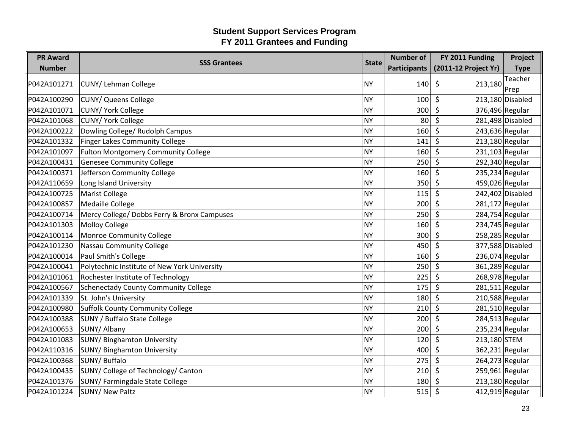| <b>PR Award</b> | <b>SSS Grantees</b>                          | <b>State</b> | <b>Number of</b>    | FY 2011 Funding              | Project          |
|-----------------|----------------------------------------------|--------------|---------------------|------------------------------|------------------|
| <b>Number</b>   |                                              |              | <b>Participants</b> | (2011-12 Project Yr)         | <b>Type</b>      |
| P042A101271     | CUNY/ Lehman College                         | <b>NY</b>    | 140                 | \$<br>213,180                | Teacher          |
|                 |                                              |              |                     |                              | Prep             |
| P042A100290     | <b>CUNY/ Queens College</b>                  | NY           | 100                 | $\zeta$                      | 213,180 Disabled |
| P042A101071     | <b>CUNY/ York College</b>                    | <b>NY</b>    | 300                 | $\zeta$<br>376,496 Regular   |                  |
| P042A101068     | <b>CUNY/ York College</b>                    | <b>NY</b>    | 80                  | \$                           | 281,498 Disabled |
| P042A100222     | Dowling College/ Rudolph Campus              | <b>NY</b>    | 160                 | 243,636 Regular<br>\$        |                  |
| P042A101332     | Finger Lakes Community College               | NY           | 141                 | \$<br>213,180 Regular        |                  |
| P042A101097     | <b>Fulton Montgomery Community College</b>   | <b>NY</b>    | 160                 | $\zeta$<br>231,103 Regular   |                  |
| P042A100431     | <b>Genesee Community College</b>             | <b>NY</b>    | 250                 | 292,340 Regular<br>\$        |                  |
| P042A100371     | Jefferson Community College                  | <b>NY</b>    | 160                 | \$<br>235,234 Regular        |                  |
| P042A110659     | Long Island University                       | <b>NY</b>    | 350                 | \$<br>459,026 Regular        |                  |
| P042A100725     | <b>Marist College</b>                        | <b>NY</b>    | 115                 | \$                           | 242,402 Disabled |
| P042A100857     | <b>Medaille College</b>                      | <b>NY</b>    | 200                 | $\zeta$<br>$281,172$ Regular |                  |
| P042A100714     | Mercy College/ Dobbs Ferry & Bronx Campuses  | <b>NY</b>    | 250                 | 284,754 Regular<br>\$        |                  |
| P042A101303     | <b>Molloy College</b>                        | <b>NY</b>    | 160                 | Ŝ.<br>234,745 Regular        |                  |
| P042A100114     | Monroe Community College                     | <b>NY</b>    | 300                 | 258,285 Regular<br>$\zeta$   |                  |
| P042A101230     | <b>Nassau Community College</b>              | <b>NY</b>    | 450                 | $\zeta$                      | 377,588 Disabled |
| P042A100014     | Paul Smith's College                         | <b>NY</b>    | 160                 | $236,074$ Regular<br>\$      |                  |
| P042A100041     | Polytechnic Institute of New York University | <b>NY</b>    | 250                 | \$<br>361,289 Regular        |                  |
| P042A101061     | Rochester Institute of Technology            | <b>NY</b>    | 225                 | $\zeta$<br>268,978 Regular   |                  |
| P042A100567     | Schenectady County Community College         | NY           | 175                 | $\zeta$<br>281,511 Regular   |                  |
| P042A101339     | St. John's University                        | <b>NY</b>    | 180                 | 210,588 Regular<br>\$        |                  |
| P042A100980     | <b>Suffolk County Community College</b>      | <b>NY</b>    | 210                 | $\zeta$<br>281,510 Regular   |                  |
| P042A100388     | <b>SUNY / Buffalo State College</b>          | <b>NY</b>    | 200                 | 284,513 Regular<br>\$        |                  |
| P042A100653     | SUNY/ Albany                                 | <b>NY</b>    | 200                 | $\zeta$<br>235,234 Regular   |                  |
| P042A101083     | <b>SUNY/ Binghamton University</b>           | <b>NY</b>    | 120                 | \$<br>213,180 STEM           |                  |
| P042A110316     | <b>SUNY/ Binghamton University</b>           | <b>NY</b>    | 400                 | \$<br>362,231 Regular        |                  |
| P042A100368     | <b>SUNY/Buffalo</b>                          | <b>NY</b>    | 275                 | \$<br>264,273 Regular        |                  |
| P042A100435     | SUNY/ College of Technology/ Canton          | <b>NY</b>    | 210                 | $\zeta$<br>$259,961$ Regular |                  |
| P042A101376     | SUNY/ Farmingdale State College              | <b>NY</b>    | 180                 | $213,180$ Regular<br>\$      |                  |
| P042A101224     | SUNY/ New Paltz                              | NY)          | 515                 | 412,919 Regular<br>\$        |                  |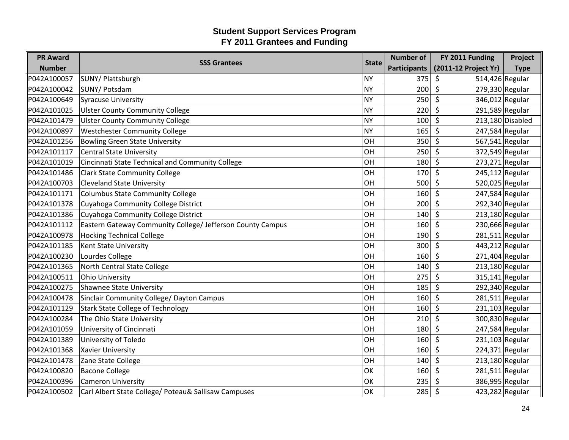| <b>PR Award</b> | <b>SSS Grantees</b>                                        | <b>State</b> | <b>Number of</b>    | FY 2011 Funding                       | Project            |
|-----------------|------------------------------------------------------------|--------------|---------------------|---------------------------------------|--------------------|
| <b>Number</b>   |                                                            |              | <b>Participants</b> | (2011-12 Project Yr)                  | <b>Type</b>        |
| P042A100057     | SUNY/ Plattsburgh                                          | <b>NY</b>    | 375                 | 514,426 Regular<br>\$                 |                    |
| P042A100042     | SUNY/ Potsdam                                              | <b>NY</b>    | 200                 | \$<br>279,330 Regular                 |                    |
| P042A100649     | <b>Syracuse University</b>                                 | <b>NY</b>    | 250                 | \$<br>346,012 Regular                 |                    |
| P042A101025     | <b>Ulster County Community College</b>                     | <b>NY</b>    | 220                 | $\zeta$                               | 291,589 Regular    |
| P042A101479     | <b>Ulster County Community College</b>                     | <b>NY</b>    | 100                 | $\mathsf{\hat{S}}$                    | $213,180$ Disabled |
| P042A100897     | <b>Westchester Community College</b>                       | <b>NY</b>    | 165                 | 247,584 Regular<br>\$                 |                    |
| P042A101256     | <b>Bowling Green State University</b>                      | OH           | 350                 | S,<br>567,541 Regular                 |                    |
| P042A101117     | <b>Central State University</b>                            | OH           | 250                 | $\zeta$<br>372,549 Regular            |                    |
| P042A101019     | Cincinnati State Technical and Community College           | OH           | 180                 | $\zeta$<br>273,271 Regular            |                    |
| P042A101486     | <b>Clark State Community College</b>                       | OH           | 170                 | \$<br>245,112 Regular                 |                    |
| P042A100703     | <b>Cleveland State University</b>                          | OH           | 500                 | S.<br>520,025 Regular                 |                    |
| P042A101171     | <b>Columbus State Community College</b>                    | OH           | 160                 | $\zeta$<br>247,584 Regular            |                    |
| P042A101378     | Cuyahoga Community College District                        | OH           | 200                 | \$<br>292,340 Regular                 |                    |
| P042A101386     | Cuyahoga Community College District                        | OH           | 140                 | $213,180$ Regular<br>Š.               |                    |
| P042A101112     | Eastern Gateway Community College/ Jefferson County Campus | OH           | 160                 | $\mathsf{\hat{S}}$<br>230,666 Regular |                    |
| P042A100978     | <b>Hocking Technical College</b>                           | OH           | 190                 | $281,511$ Regular<br>$\zeta$          |                    |
| P042A101185     | <b>Kent State University</b>                               | OH           | 300                 | $\zeta$<br>443,212 Regular            |                    |
| P042A100230     | Lourdes College                                            | OH           | 160                 | 271,404 Regular<br>\$                 |                    |
| P042A101365     | North Central State College                                | OH           | 140                 | \$<br>$213,180$ Regular               |                    |
| P042A100511     | <b>Ohio University</b>                                     | OH           | 275                 | $\zeta$<br>$315,141$ Regular          |                    |
| P042A100275     | <b>Shawnee State University</b>                            | OH           | 185                 | 292,340 Regular<br>$\zeta$            |                    |
| P042A100478     | Sinclair Community College/ Dayton Campus                  | OH           | 160                 | $281,511$ Regular<br>\$               |                    |
| P042A101129     | <b>Stark State College of Technology</b>                   | OH           | 160                 | \$<br>231,103 Regular                 |                    |
| P042A100284     | The Ohio State University                                  | OH           | 210                 | 300,830 Regular<br>$\zeta$            |                    |
| P042A101059     | University of Cincinnati                                   | OH           | 180                 | $\zeta$<br>247,584 Regular            |                    |
| P042A101389     | University of Toledo                                       | OH           | 160                 | $231,103$ Regular<br>\$               |                    |
| P042A101368     | <b>Xavier University</b>                                   | OH           | 160                 | $\zeta$<br>224,371 Regular            |                    |
| P042A101478     | Zane State College                                         | OH           | 140                 | $213,180$ Regular<br>$\zeta$          |                    |
| P042A100820     | <b>Bacone College</b>                                      | OK           | 160                 | \$<br>281,511 Regular                 |                    |
| P042A100396     | <b>Cameron University</b>                                  | OK           | 235                 | 386,995 Regular<br>-\$                |                    |
| P042A100502     | Carl Albert State College/ Poteau& Sallisaw Campuses       | OK           | 285                 | \$<br>423,282 Regular                 |                    |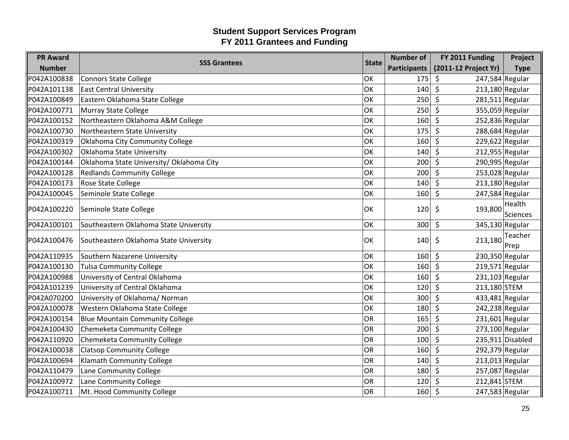| <b>PR Award</b> | <b>SSS Grantees</b>                      | <b>State</b> | <b>Number of</b>    | FY 2011 Funding              | Project            |
|-----------------|------------------------------------------|--------------|---------------------|------------------------------|--------------------|
| <b>Number</b>   |                                          |              | <b>Participants</b> | (2011-12 Project Yr)         | <b>Type</b>        |
| P042A100838     | <b>Connors State College</b>             | OK           | 175                 | 247,584 Regular<br>\$        |                    |
| P042A101138     | <b>East Central University</b>           | OK           | 140                 | \$<br>$213,180$ Regular      |                    |
| P042A100849     | Eastern Oklahoma State College           | OK           | 250                 | $\zeta$<br>281,511 Regular   |                    |
| P042A100771     | Murray State College                     | OK           | 250                 | $\zeta$<br>355,059 Regular   |                    |
| P042A100152     | Northeastern Oklahoma A&M College        | OK           | 160                 | $\zeta$<br>252,836 Regular   |                    |
| P042A100730     | Northeastern State University            | OK           | 175                 | 288,684 Regular<br>\$        |                    |
| P042A100319     | Oklahoma City Community College          | OK           | 160                 | \$<br>229,622 Regular        |                    |
| P042A100302     | Oklahoma State University                | OK           | 140                 | $\zeta$<br>212,955 Regular   |                    |
| P042A100144     | Oklahoma State University/ Oklahoma City | OK           | 200                 | $\zeta$<br>290,995 Regular   |                    |
| P042A100128     | <b>Redlands Community College</b>        | OK           | 200                 | 253,028 Regular<br>\$        |                    |
| P042A100173     | Rose State College                       | OK           | 140                 | \$<br>213,180 Regular        |                    |
| P042A100045     | Seminole State College                   | OK           | 160                 | $\zeta$<br>$247,584$ Regular |                    |
| P042A100220     | Seminole State College                   | OK           | 120                 | 193,800<br>\$                | Health             |
|                 |                                          |              |                     |                              | <b>Sciences</b>    |
| P042A100101     | Southeastern Oklahoma State University   | lок          | 300                 | $\zeta$<br>345,130 Regular   |                    |
| P042A100476     | Southeastern Oklahoma State University   | OK           | 140                 | 213,180<br>\$                | Teacher            |
|                 |                                          |              |                     |                              | Prep               |
| P042A110935     | Southern Nazarene University             | OK           | 160                 | $\zeta$<br>230,350 Regular   |                    |
| P042A100130     | <b>Tulsa Community College</b>           | OK           | 160                 | $\zeta$<br>219,571 Regular   |                    |
| P042A100988     | University of Central Oklahoma           | OK           | 160                 | $\zeta$<br>$231,103$ Regular |                    |
| P042A101239     | University of Central Oklahoma           | OK           | 120                 | $\zeta$<br>213,180 STEM      |                    |
| P042A070200     | University of Oklahoma/ Norman           | OK           | 300                 | 433,481 Regular<br>\$        |                    |
| P042A100078     | Western Oklahoma State College           | OK           | 180                 | 242,238 Regular<br>\$        |                    |
| P042A100154     | <b>Blue Mountain Community College</b>   | <b>OR</b>    | 165                 | $231,601$ Regular<br>$\zeta$ |                    |
| P042A100430     | Chemeketa Community College              | OR           | 200                 | $\zeta$<br>273,100 Regular   |                    |
| P042A110920     | Chemeketa Community College              | <b>OR</b>    | 100                 | \$                           | $235,911$ Disabled |
| P042A100038     | <b>Clatsop Community College</b>         | <b>OR</b>    | 160                 | $\zeta$<br>292,379 Regular   |                    |
| P042A100694     | Klamath Community College                | OR           | 140                 | $\zeta$<br>$213,013$ Regular |                    |
| P042A110479     | Lane Community College                   | OR           | 180                 | \$<br>257,087 Regular        |                    |
| P042A100972     | Lane Community College                   | <b>OR</b>    | 120                 | 212,841 STEM<br>Ŝ.           |                    |
| P042A100711     | Mt. Hood Community College               | OR           | 160                 | \$<br>247,583 Regular        |                    |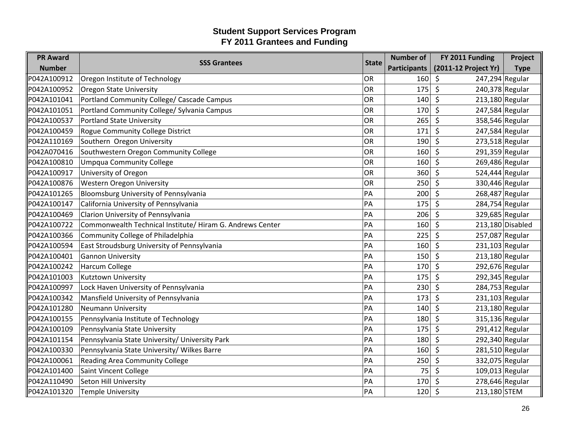| <b>PR Award</b> | <b>SSS Grantees</b>                                      | <b>State</b> | <b>Number of</b>    | FY 2011 Funding              | Project          |
|-----------------|----------------------------------------------------------|--------------|---------------------|------------------------------|------------------|
| <b>Number</b>   |                                                          |              | <b>Participants</b> | (2011-12 Project Yr)         | <b>Type</b>      |
| P042A100912     | Oregon Institute of Technology                           | OR           | 160                 | 247,294 Regular<br>\$        |                  |
| P042A100952     | <b>Oregon State University</b>                           | OR           | 175                 | \$<br>240,378 Regular        |                  |
| P042A101041     | Portland Community College/ Cascade Campus               | OR           | 140                 | \$<br>$213,180$ Regular      |                  |
| P042A101051     | Portland Community College/ Sylvania Campus              | OR           | 170                 | $\zeta$<br>247,584 Regular   |                  |
| P042A100537     | <b>Portland State University</b>                         | <b>OR</b>    | 265                 | $\zeta$<br>358,546 Regular   |                  |
| P042A100459     | Rogue Community College District                         | OR           | 171                 | \$<br>247,584 Regular        |                  |
| P042A110169     | Southern Oregon University                               | OR           | 190                 | $\zeta$<br>$273,518$ Regular |                  |
| P042A070416     | Southwestern Oregon Community College                    | OR           | 160                 | $\zeta$<br>291,359 Regular   |                  |
| P042A100810     | <b>Umpqua Community College</b>                          | OR           | 160                 | $\zeta$<br>269,486 Regular   |                  |
| P042A100917     | University of Oregon                                     | OR           | 360                 | \$<br>$524,444$ Regular      |                  |
| P042A100876     | <b>Western Oregon University</b>                         | OR           | 250                 | $\zeta$<br>330,446 Regular   |                  |
| P042A101265     | Bloomsburg University of Pennsylvania                    | PA           | 200                 | $\zeta$<br>268,487 Regular   |                  |
| P042A100147     | California University of Pennsylvania                    | PA           | 175                 | $\zeta$<br>284,754 Regular   |                  |
| P042A100469     | Clarion University of Pennsylvania                       | PA           | 206                 | 329,685 Regular<br>Ŝ.        |                  |
| P042A100722     | Commonwealth Technical Institute/Hiram G. Andrews Center | PA           | 160                 | $\mathsf{\hat{S}}$           | 213,180 Disabled |
| P042A100366     | Community College of Philadelphia                        | PA           | 225                 | $\zeta$<br>257,087 Regular   |                  |
| P042A100594     | East Stroudsburg University of Pennsylvania              | PA           | 160                 | $\zeta$<br>$231,103$ Regular |                  |
| P042A100401     | <b>Gannon University</b>                                 | PA           | 150                 | \$<br>$213,180$ Regular      |                  |
| P042A100242     | <b>Harcum College</b>                                    | PA           | 170                 | \$<br>292,676 Regular        |                  |
| P042A101003     | Kutztown University                                      | PA           | 175                 | $\zeta$<br>292,345 Regular   |                  |
| P042A100997     | Lock Haven University of Pennsylvania                    | PA           | 230                 | $\zeta$<br>284,753 Regular   |                  |
| P042A100342     | Mansfield University of Pennsylvania                     | PA           | 173                 | $\zeta$<br>$231,103$ Regular |                  |
| P042A101280     | <b>Neumann University</b>                                | PA           | 140                 | \$<br>$213,180$ Regular      |                  |
| P042A100155     | Pennsylvania Institute of Technology                     | PA           | 180                 | 315,136 Regular<br>\$        |                  |
| P042A100109     | Pennsylvania State University                            | PA           | 175                 | $\zeta$<br>$291,412$ Regular |                  |
| P042A101154     | Pennsylvania State University/ University Park           | PA           | 180                 | \$<br>292,340 Regular        |                  |
| P042A100330     | Pennsylvania State University/ Wilkes Barre              | PA           | 160                 | \$<br>$281,510$ Regular      |                  |
| P042A100061     | <b>Reading Area Community College</b>                    | PA           | 250                 | $\zeta$<br>332,075 Regular   |                  |
| P042A101400     | Saint Vincent College                                    | PA           | 75                  | $\zeta$<br>$109,013$ Regular |                  |
| P042A110490     | Seton Hill University                                    | PA           | 170                 | 278,646 Regular<br>\$        |                  |
| P042A101320     | <b>Temple University</b>                                 | PA           | 120                 | \$<br>213,180 STEM           |                  |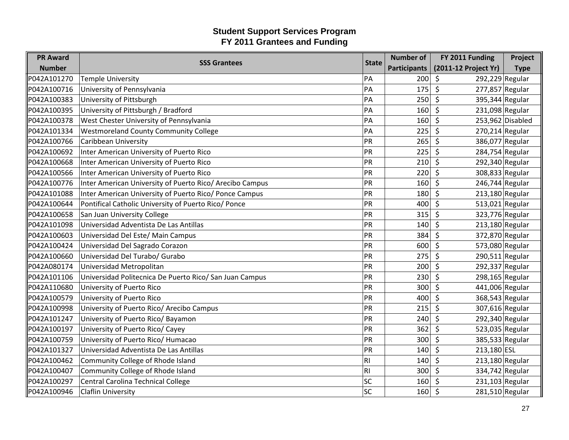| <b>PR Award</b> | <b>SSS Grantees</b>                                      | <b>State</b>   | <b>Number of</b>    | FY 2011 Funding              | Project           |
|-----------------|----------------------------------------------------------|----------------|---------------------|------------------------------|-------------------|
| <b>Number</b>   |                                                          |                | <b>Participants</b> | (2011-12 Project Yr)         | <b>Type</b>       |
| P042A101270     | <b>Temple University</b>                                 | PA             | 200                 | $\zeta$<br>292,229 Regular   |                   |
| P042A100716     | University of Pennsylvania                               | PA             | 175                 | \$<br>277,857 Regular        |                   |
| P042A100383     | University of Pittsburgh                                 | PA             | 250                 | \$<br>395,344 Regular        |                   |
| P042A100395     | University of Pittsburgh / Bradford                      | PA             | 160                 | $\zeta$                      | 231,098 Regular   |
| P042A100378     | West Chester University of Pennsylvania                  | PA             | 160                 | \$                           | 253,962 Disabled  |
| P042A101334     | <b>Westmoreland County Community College</b>             | PA             | 225                 | \$<br>$270,214$ Regular      |                   |
| P042A100766     | Caribbean University                                     | PR             | 265                 | $\zeta$<br>386,077 Regular   |                   |
| P042A100692     | Inter American University of Puerto Rico                 | PR             | 225                 | $\zeta$<br>284,754 Regular   |                   |
| P042A100668     | Inter American University of Puerto Rico                 | PR             | 210                 | $\zeta$<br>292,340 Regular   |                   |
| P042A100566     | Inter American University of Puerto Rico                 | PR             | 220                 | \$<br>308,833 Regular        |                   |
| P042A100776     | Inter American University of Puerto Rico/ Arecibo Campus | PR             | 160                 | \$<br>246,744 Regular        |                   |
| P042A101088     | Inter American University of Puerto Rico/ Ponce Campus   | PR             | 180                 | $\zeta$<br>$213,180$ Regular |                   |
| P042A100644     | Pontifical Catholic University of Puerto Rico/ Ponce     | PR             | 400                 | $\zeta$<br>513,021 Regular   |                   |
| P042A100658     | San Juan University College                              | PR             | 315                 | 323,776 Regular<br>\$        |                   |
| P042A101098     | Universidad Adventista De Las Antillas                   | PR             | 140                 | $\zeta$<br>$213,180$ Regular |                   |
| P042A100603     | Universidad Del Este/ Main Campus                        | PR             | 384                 | $\zeta$<br>372,870 Regular   |                   |
| P042A100424     | Universidad Del Sagrado Corazon                          | PR             | 600                 | $\zeta$<br>573,080 Regular   |                   |
| P042A100660     | Universidad Del Turabo/ Gurabo                           | PR             | 275                 | \$<br>290,511 Regular        |                   |
| P042A080174     | Universidad Metropolitan                                 | PR             | 200                 | \$<br>292,337 Regular        |                   |
| P042A101106     | Universidad Politecnica De Puerto Rico/ San Juan Campus  | PR             | 230                 | $\zeta$<br>298,165 Regular   |                   |
| P042A110680     | University of Puerto Rico                                | PR             | 300                 | \$<br>441,006 Regular        |                   |
| P042A100579     | University of Puerto Rico                                | PR             | 400                 | 368,543 Regular<br>\$        |                   |
| P042A100998     | University of Puerto Rico/ Arecibo Campus                | PR             | 215                 | $\zeta$<br>307,616 Regular   |                   |
| P042A101247     | University of Puerto Rico/ Bayamon                       | PR             | 240                 | \$<br>292,340 Regular        |                   |
| P042A100197     | University of Puerto Rico/ Cayey                         | PR             | 362                 | $\zeta$<br>523,035 Regular   |                   |
| P042A100759     | University of Puerto Rico/ Humacao                       | PR             | 300                 | \$<br>385,533 Regular        |                   |
| P042A101327     | Universidad Adventista De Las Antillas                   | PR             | 140                 | \$<br>213,180 ESL            |                   |
| P042A100462     | Community College of Rhode Island                        | <b>RI</b>      | 140                 | $\zeta$                      | $213,180$ Regular |
| P042A100407     | Community College of Rhode Island                        | R <sub>l</sub> | 300                 | $\zeta$<br>334,742 Regular   |                   |
| P042A100297     | Central Carolina Technical College                       | SC             | 160                 | $231,103$ Regular<br>\$      |                   |
| P042A100946     | <b>Claflin University</b>                                | SC             | 160                 | $\zeta$<br>281,510 Regular   |                   |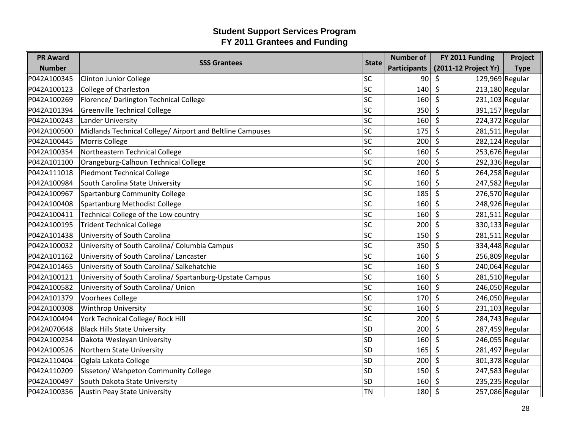| <b>PR Award</b> | <b>SSS Grantees</b>                                       | <b>State</b> | <b>Number of</b>    | FY 2011 Funding                         | Project     |
|-----------------|-----------------------------------------------------------|--------------|---------------------|-----------------------------------------|-------------|
| <b>Number</b>   |                                                           |              | <b>Participants</b> | (2011-12 Project Yr)                    | <b>Type</b> |
| P042A100345     | <b>Clinton Junior College</b>                             | <b>SC</b>    | 90                  | 129,969 Regular<br>\$                   |             |
| P042A100123     | <b>College of Charleston</b>                              | SC           | 140                 | \$<br>$213,180$ Regular                 |             |
| P042A100269     | Florence/ Darlington Technical College                    | SC           | 160                 | \$<br>231,103 Regular                   |             |
| P042A101394     | <b>Greenville Technical College</b>                       | SC           | 350                 | $\zeta$<br>391,157 Regular              |             |
| P042A100243     | Lander University                                         | SC           | 160                 | \$<br>224,372 Regular                   |             |
| P042A100500     | Midlands Technical College/ Airport and Beltline Campuses | SC           | 175                 | \$<br>$281,511$ Regular                 |             |
| P042A100445     | Morris College                                            | SC           | 200                 | $\zeta$<br>282,124 Regular              |             |
| P042A100354     | Northeastern Technical College                            | SC           | 160                 | $\zeta$<br>253,676 Regular              |             |
| P042A101100     | Orangeburg-Calhoun Technical College                      | SC           | 200                 | $\zeta$<br>292,336 Regular              |             |
| P042A111018     | <b>Piedmont Technical College</b>                         | SC           | 160                 | \$<br>264,258 Regular                   |             |
| P042A100984     | South Carolina State University                           | SC           | 160                 | $\zeta$<br>247,582 Regular              |             |
| P042A100967     | <b>Spartanburg Community College</b>                      | SC           | 185                 | $\zeta$<br>276,570 Regular              |             |
| P042A100408     | Spartanburg Methodist College                             | SC           | 160                 | $\mathsf{\hat{S}}$<br>248,926 Regular   |             |
| P042A100411     | Technical College of the Low country                      | SC           | 160                 | $281,511$ Regular<br>\$                 |             |
| P042A100195     | <b>Trident Technical College</b>                          | SC           | 200                 | $\zeta$<br>330,133 Regular              |             |
| P042A101438     | University of South Carolina                              | SC           | 150                 | $\zeta$<br>$281,511$ Regular            |             |
| P042A100032     | University of South Carolina/ Columbia Campus             | SC           | 350                 | \$<br>334,448 Regular                   |             |
| P042A101162     | University of South Carolina/ Lancaster                   | SC           | 160                 | \$<br>256,809 Regular                   |             |
| P042A101465     | University of South Carolina/ Salkehatchie                | SC           | 160                 | \$<br>240,064 Regular                   |             |
| P042A100121     | University of South Carolina/ Spartanburg-Upstate Campus  | <b>SC</b>    | 160                 | $\zeta$<br>281,510 Regular              |             |
| P042A100582     | University of South Carolina/ Union                       | SC           | 160                 | \$<br>246,050 Regular                   |             |
| P042A101379     | <b>Voorhees College</b>                                   | SC           | 170                 | 246,050 Regular<br>\$                   |             |
| P042A100308     | Winthrop University                                       | <b>SC</b>    | 160                 | $\mathsf{\hat{S}}$<br>$231,103$ Regular |             |
| P042A100494     | York Technical College/ Rock Hill                         | <b>SC</b>    | 200                 | 284,743 Regular<br>\$                   |             |
| P042A070648     | <b>Black Hills State University</b>                       | <b>SD</b>    | 200                 | $\zeta$<br>287,459 Regular              |             |
| P042A100254     | Dakota Wesleyan University                                | <b>SD</b>    | 160                 | \$<br>246,055 Regular                   |             |
| P042A100526     | Northern State University                                 | <b>SD</b>    | 165                 | \$<br>281,497 Regular                   |             |
| P042A110404     | Oglala Lakota College                                     | <b>SD</b>    | 200                 | $\zeta$<br>301,378 Regular              |             |
| P042A110209     | Sisseton/ Wahpeton Community College                      | SD           | 150                 | $\zeta$<br>247,583 Regular              |             |
| P042A100497     | South Dakota State University                             | <b>SD</b>    | 160                 | 235,235 Regular<br>\$                   |             |
| P042A100356     | <b>Austin Peay State University</b>                       | <b>TN</b>    | 180                 | \$<br>257,086 Regular                   |             |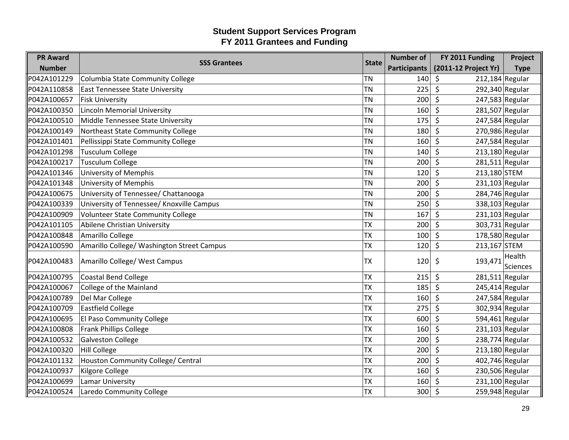| <b>PR Award</b> | <b>SSS Grantees</b>                        | <b>State</b> | <b>Number of</b>    | FY 2011 Funding              | Project            |
|-----------------|--------------------------------------------|--------------|---------------------|------------------------------|--------------------|
| <b>Number</b>   |                                            |              | <b>Participants</b> | (2011-12 Project Yr)         | <b>Type</b>        |
| P042A101229     | Columbia State Community College           | <b>TN</b>    | 140                 | $212,184$ Regular<br>$\zeta$ |                    |
| P042A110858     | <b>East Tennessee State University</b>     | <b>TN</b>    | 225                 | \$<br>292,340 Regular        |                    |
| P042A100657     | <b>Fisk University</b>                     | <b>TN</b>    | 200                 | $\zeta$<br>247,583 Regular   |                    |
| P042A100350     | Lincoln Memorial University                | <b>TN</b>    | 160                 | $\zeta$<br>$281,507$ Regular |                    |
| P042A100510     | Middle Tennessee State University          | <b>TN</b>    | 175                 | $\zeta$<br>247,584 Regular   |                    |
| P042A100149     | Northeast State Community College          | <b>TN</b>    | 180                 | 270,986 Regular<br>\$        |                    |
| P042A101401     | Pellissippi State Community College        | <b>TN</b>    | 160                 | $\zeta$<br>247,584 Regular   |                    |
| P042A101298     | <b>Tusculum College</b>                    | <b>TN</b>    | 140                 | $\zeta$<br>$213,180$ Regular |                    |
| P042A100217     | <b>Tusculum College</b>                    | <b>TN</b>    | 200                 | $\zeta$<br>$281,511$ Regular |                    |
| P042A101346     | <b>University of Memphis</b>               | <b>TN</b>    | 120                 | \$<br>213,180 STEM           |                    |
| P042A101348     | <b>University of Memphis</b>               | <b>TN</b>    | 200                 | $\zeta$<br>231,103 Regular   |                    |
| P042A100675     | University of Tennessee/ Chattanooga       | <b>TN</b>    | 200                 | $\zeta$<br>284,746 Regular   |                    |
| P042A100339     | University of Tennessee/ Knoxville Campus  | <b>TN</b>    | 250                 | $\zeta$<br>338,103 Regular   |                    |
| P042A100909     | <b>Volunteer State Community College</b>   | <b>TN</b>    | 167                 | $231,103$ Regular<br>\$      |                    |
| P042A101105     | Abilene Christian University               | <b>TX</b>    | 200                 | $\zeta$<br>303,731 Regular   |                    |
| P042A100848     | Amarillo College                           | <b>TX</b>    | 100                 | \$<br>178,580 Regular        |                    |
| P042A100590     | Amarillo College/ Washington Street Campus | <b>TX</b>    | 120                 | \$<br>213,167 STEM           |                    |
| P042A100483     | Amarillo College/ West Campus              | <b>TX</b>    | 120                 | \$<br>193,471                | Health<br>Sciences |
| P042A100795     | <b>Coastal Bend College</b>                | <b>TX</b>    | 215                 | $\zeta$<br>$281,511$ Regular |                    |
| P042A100067     | College of the Mainland                    | <b>TX</b>    | 185                 | $\zeta$<br>245,414 Regular   |                    |
| P042A100789     | Del Mar College                            | <b>TX</b>    | 160                 | \$<br>247,584 Regular        |                    |
| P042A100709     | <b>Eastfield College</b>                   | <b>TX</b>    | 275                 | $\zeta$<br>302,934 Regular   |                    |
| P042A100695     | El Paso Community College                  | <b>TX</b>    | 600                 | $\zeta$<br>594,461 Regular   |                    |
| P042A100808     | <b>Frank Phillips College</b>              | <b>TX</b>    | 160                 | $231,103$ Regular<br>\$      |                    |
| P042A100532     | <b>Galveston College</b>                   | ТX           | 200                 | \$<br>238,774 Regular        |                    |
| P042A100320     | <b>Hill College</b>                        | <b>TX</b>    | 200                 | \$<br>$213,180$ Regular      |                    |
| P042A101132     | Houston Community College/ Central         | <b>TX</b>    | 200                 | 402,746 Regular<br>$\zeta$   |                    |
| P042A100937     | <b>Kilgore College</b>                     | <b>TX</b>    | 160                 | 230,506 Regular<br>$\zeta$   |                    |
| P042A100699     | Lamar University                           | <b>TX</b>    | 160                 | 231,100 Regular<br>\$        |                    |
| P042A100524     | Laredo Community College                   | <b>TX</b>    | 300                 | 259,948 Regular<br>\$        |                    |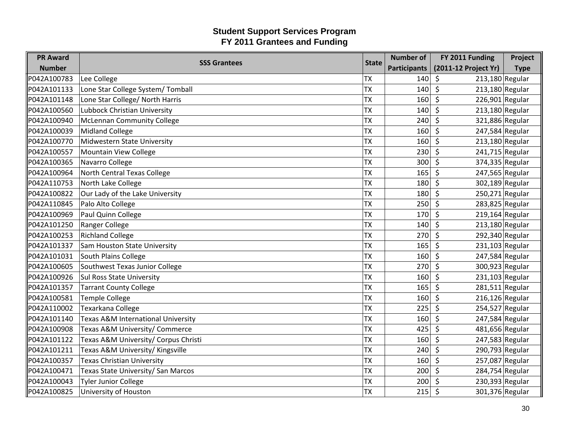| <b>PR Award</b> | <b>SSS Grantees</b>                  | <b>State</b> | <b>Number of</b>    | FY 2011 Funding              | Project     |
|-----------------|--------------------------------------|--------------|---------------------|------------------------------|-------------|
| <b>Number</b>   |                                      |              | <b>Participants</b> | (2011-12 Project Yr)         | <b>Type</b> |
| P042A100783     | Lee College                          | <b>TX</b>    | 140                 | $213,180$ Regular<br>$\zeta$ |             |
| P042A101133     | Lone Star College System/Tomball     | <b>TX</b>    | 140                 | 213,180 Regular<br>\$        |             |
| P042A101148     | Lone Star College/ North Harris      | <b>TX</b>    | 160                 | $\zeta$<br>226,901 Regular   |             |
| P042A100560     | Lubbock Christian University         | <b>TX</b>    | 140                 | $\zeta$<br>$213,180$ Regular |             |
| P042A100940     | <b>McLennan Community College</b>    | <b>TX</b>    | 240                 | $\zeta$<br>321,886 Regular   |             |
| P042A100039     | <b>Midland College</b>               | <b>TX</b>    | 160                 | 247,584 Regular<br>\$        |             |
| P042A100770     | <b>Midwestern State University</b>   | <b>TX</b>    | 160                 | $\zeta$<br>213,180 Regular   |             |
| P042A100557     | Mountain View College                | <b>TX</b>    | 230                 | 241,715 Regular<br>$\zeta$   |             |
| P042A100365     | Navarro College                      | <b>TX</b>    | 300                 | $\zeta$<br>374,335 Regular   |             |
| P042A100964     | North Central Texas College          | <b>TX</b>    | 165                 | 247,565 Regular<br>\$        |             |
| P042A110753     | North Lake College                   | <b>TX</b>    | 180                 | $\zeta$<br>302,189 Regular   |             |
| P042A100822     | Our Lady of the Lake University      | <b>TX</b>    | 180                 | $\zeta$<br>250,271 Regular   |             |
| P042A110845     | Palo Alto College                    | <b>TX</b>    | 250                 | $\zeta$<br>283,825 Regular   |             |
| P042A100969     | Paul Quinn College                   | ТX           | 170                 | $219,164$ Regular<br>\$      |             |
| P042A101250     | Ranger College                       | <b>TX</b>    | 140                 | $\zeta$<br>$213,180$ Regular |             |
| P042A100253     | <b>Richland College</b>              | <b>TX</b>    | 270                 | $\zeta$<br>292,340 Regular   |             |
| P042A101337     | Sam Houston State University         | <b>TX</b>    | 165                 | $\zeta$<br>231,103 Regular   |             |
| P042A101031     | South Plains College                 | <b>TX</b>    | 160                 | \$<br>247,584 Regular        |             |
| P042A100605     | Southwest Texas Junior College       | <b>TX</b>    | 270                 | $\zeta$<br>300,923 Regular   |             |
| P042A100926     | <b>Sul Ross State University</b>     | <b>TX</b>    | 160                 | $231,103$ Regular<br>$\zeta$ |             |
| P042A101357     | <b>Tarrant County College</b>        | <b>TX</b>    | 165                 | $\zeta$<br>281,511 Regular   |             |
| P042A100581     | <b>Temple College</b>                | <b>TX</b>    | 160                 | $\zeta$<br>$216,126$ Regular |             |
| P042A110002     | Texarkana College                    | <b>TX</b>    | 225                 | $\zeta$<br>254,527 Regular   |             |
| P042A101140     | Texas A&M International University   | <b>TX</b>    | 160                 | $\zeta$<br>247,584 Regular   |             |
| P042A100908     | Texas A&M University/ Commerce       | <b>TX</b>    | 425                 | \$<br>481,656 Regular        |             |
| P042A101122     | Texas A&M University/ Corpus Christi | <b>TX</b>    | 160                 | \$<br>247,583 Regular        |             |
| P042A101211     | Texas A&M University/ Kingsville     | <b>TX</b>    | 240                 | $\zeta$<br>290,793 Regular   |             |
| P042A100357     | <b>Texas Christian University</b>    | <b>TX</b>    | 160                 | $\zeta$<br>257,087 Regular   |             |
| P042A100471     | Texas State University/ San Marcos   | <b>TX</b>    | 200                 | $\zeta$<br>284,754 Regular   |             |
| P042A100043     | <b>Tyler Junior College</b>          | <b>TX</b>    | 200                 | 230,393 Regular<br>\$        |             |
| P042A100825     | University of Houston                | <b>TX</b>    | 215                 | \$<br>301,376 Regular        |             |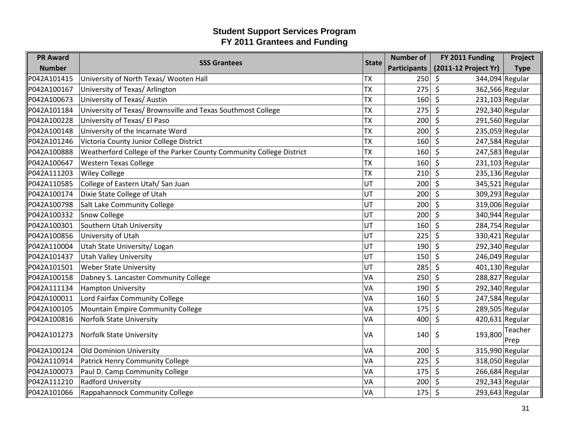| <b>PR Award</b> | <b>SSS Grantees</b>                                                 | <b>State</b> | <b>Number of</b>    | FY 2011 Funding                       | Project         |
|-----------------|---------------------------------------------------------------------|--------------|---------------------|---------------------------------------|-----------------|
| <b>Number</b>   |                                                                     |              | <b>Participants</b> | (2011-12 Project Yr)                  | <b>Type</b>     |
| P042A101415     | University of North Texas/ Wooten Hall                              | <b>TX</b>    | 250                 | $\zeta$<br>344,094 Regular            |                 |
| P042A100167     | University of Texas/ Arlington                                      | <b>TX</b>    | 275                 | \$<br>362,566 Regular                 |                 |
| P042A100673     | University of Texas/ Austin                                         | <b>TX</b>    | 160                 | \$<br>$231,103$ Regular               |                 |
| P042A101184     | University of Texas/ Brownsville and Texas Southmost College        | <b>TX</b>    | 275                 | $\zeta$<br>$292,340$ Regular          |                 |
| P042A100228     | University of Texas/ El Paso                                        | <b>TX</b>    | 200                 | $\zeta$<br>291,560 Regular            |                 |
| P042A100148     | University of the Incarnate Word                                    | <b>TX</b>    | 200                 | 235,059 Regular<br>\$                 |                 |
| P042A101246     | Victoria County Junior College District                             | <b>TX</b>    | 160                 | $\mathsf{\hat{S}}$<br>247,584 Regular |                 |
| P042A100888     | Weatherford College of the Parker County Community College District | <b>TX</b>    | 160                 | $\zeta$<br>247,583 Regular            |                 |
| P042A100647     | <b>Western Texas College</b>                                        | <b>TX</b>    | 160                 | $\zeta$<br>$231,103$ Regular          |                 |
| P042A111203     | <b>Wiley College</b>                                                | <b>TX</b>    | 210                 | 235,136 Regular<br>Ŝ.                 |                 |
| P042A110585     | College of Eastern Utah/ San Juan                                   | UT           | 200                 | $\zeta$<br>345,521 Regular            |                 |
| P042A100174     | Dixie State College of Utah                                         | UT           | 200                 | $\zeta$<br>309,293 Regular            |                 |
| P042A100798     | Salt Lake Community College                                         | UT           | 200                 | 319,006 Regular<br>\$                 |                 |
| P042A100332     | <b>Snow College</b>                                                 | UT           | 200                 | 340,944 Regular<br>Ŝ.                 |                 |
| P042A100301     | Southern Utah University                                            | UT           | 160                 | $\zeta$<br>284,754 Regular            |                 |
| P042A100856     | University of Utah                                                  | UT           | 225                 | 330,421 Regular<br>$\zeta$            |                 |
| P042A110004     | Utah State University/ Logan                                        | UT           | 190                 | $\zeta$<br>292,340 Regular            |                 |
| P042A101437     | <b>Utah Valley University</b>                                       | UT           | 150                 | \$<br>246,049 Regular                 |                 |
| P042A101501     | <b>Weber State University</b>                                       | UT           | 285                 | 401,130 Regular<br>\$                 |                 |
| P042A100158     | Dabney S. Lancaster Community College                               | VA           | 250                 | $\zeta$<br>288,827 Regular            |                 |
| P042A111134     | <b>Hampton University</b>                                           | VA           | 190                 | 292,340 Regular<br>Ŝ.                 |                 |
| P042A100011     | Lord Fairfax Community College                                      | <b>VA</b>    | 160                 | 247,584 Regular<br>Ŝ.                 |                 |
| P042A100105     | Mountain Empire Community College                                   | VA           | 175                 | 289,505 Regular<br>\$                 |                 |
| P042A100816     | Norfolk State University                                            | <b>VA</b>    | 400                 | $\zeta$<br>420,631 Regular            |                 |
| P042A101273     | <b>Norfolk State University</b>                                     | VA           | 140                 | 193,800<br>\$                         | Teacher<br>Prep |
| P042A100124     | Old Dominion University                                             | VA           | 200                 | $\zeta$<br>315,990 Regular            |                 |
| P042A110914     | Patrick Henry Community College                                     | VA           | 225                 | 318,050 Regular<br>$\zeta$            |                 |
| P042A100073     | Paul D. Camp Community College                                      | <b>VA</b>    | 175                 | \$<br>266,684 Regular                 |                 |
| P042A111210     | <b>Radford University</b>                                           | VA           | 200                 | 292,343 Regular<br>\$                 |                 |
| P042A101066     | Rappahannock Community College                                      | VA           | 175                 | \$<br>293,643 Regular                 |                 |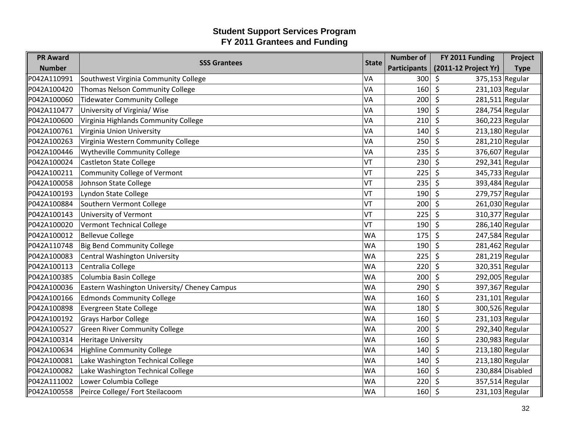| <b>PR Award</b> |                                              |              | <b>Number of</b>    | FY 2011 Funding              | Project          |
|-----------------|----------------------------------------------|--------------|---------------------|------------------------------|------------------|
| <b>Number</b>   | <b>SSS Grantees</b>                          | <b>State</b> | <b>Participants</b> | (2011-12 Project Yr)         | <b>Type</b>      |
| P042A110991     | Southwest Virginia Community College         | VA           | 300                 | 375,153 Regular<br>\$        |                  |
| P042A100420     | Thomas Nelson Community College              | VA           | 160                 | \$<br>231,103 Regular        |                  |
| P042A100060     | <b>Tidewater Community College</b>           | VA           | 200                 | \$<br>281,511 Regular        |                  |
| P042A110477     | University of Virginia/ Wise                 | VA           | 190                 | $\zeta$<br>284,754 Regular   |                  |
| P042A100600     | Virginia Highlands Community College         | VA           | 210                 | $\zeta$<br>360,223 Regular   |                  |
| P042A100761     | Virginia Union University                    | VA           | 140                 | 213,180 Regular<br>\$        |                  |
| P042A100263     | Virginia Western Community College           | VA           | 250                 | $\zeta$<br>281,210 Regular   |                  |
| P042A100446     | Wytheville Community College                 | VA           | 235                 | 376,607 Regular<br>\$        |                  |
| P042A100024     | <b>Castleton State College</b>               | VT           | 230                 | \$<br>292,341 Regular        |                  |
| P042A100211     | Community College of Vermont                 | VT           | 225                 | \$<br>345,733 Regular        |                  |
| P042A100058     | Johnson State College                        | VT           | 235                 | \$<br>393,484 Regular        |                  |
| P042A100193     | Lyndon State College                         | VT           | 190                 | \$<br>279,757 Regular        |                  |
| P042A100884     | Southern Vermont College                     | VT           | 200                 | $\zeta$<br>261,030 Regular   |                  |
| P042A100143     | University of Vermont                        | VT           | 225                 | 310,377 Regular<br>\$        |                  |
| P042A100020     | Vermont Technical College                    | VT           | 190                 | 286,140 Regular<br>\$        |                  |
| P042A100012     | <b>Bellevue College</b>                      | <b>WA</b>    | 175                 | \$<br>247,584 Regular        |                  |
| P042A110748     | <b>Big Bend Community College</b>            | <b>WA</b>    | 190                 | $\zeta$<br>281,462 Regular   |                  |
| P042A100083     | Central Washington University                | <b>WA</b>    | 225                 | 281,219 Regular<br>\$        |                  |
| P042A100113     | Centralia College                            | <b>WA</b>    | 220                 | $\zeta$<br>320,351 Regular   |                  |
| P042A100385     | Columbia Basin College                       | <b>WA</b>    | 200                 | 292,005 Regular<br>$\zeta$   |                  |
| P042A100036     | Eastern Washington University/ Cheney Campus | <b>WA</b>    | 290                 | 397,367 Regular<br>\$        |                  |
| P042A100166     | <b>Edmonds Community College</b>             | <b>WA</b>    | 160                 | 231,101 Regular<br>\$        |                  |
| P042A100898     | Evergreen State College                      | <b>WA</b>    | 180                 | 300,526 Regular<br>\$        |                  |
| P042A100192     | <b>Grays Harbor College</b>                  | <b>WA</b>    | 160                 | $231,103$ Regular<br>$\zeta$ |                  |
| P042A100527     | <b>Green River Community College</b>         | <b>WA</b>    | 200                 | \$<br>292,340 Regular        |                  |
| P042A100314     | <b>Heritage University</b>                   | <b>WA</b>    | 160                 | \$<br>230,983 Regular        |                  |
| P042A100634     | <b>Highline Community College</b>            | <b>WA</b>    | 140                 | 213,180 Regular<br>\$        |                  |
| P042A100081     | Lake Washington Technical College            | <b>WA</b>    | 140                 | $\zeta$<br>$213,180$ Regular |                  |
| P042A100082     | Lake Washington Technical College            | <b>WA</b>    | 160                 | \$                           | 230,884 Disabled |
| P042A111002     | Lower Columbia College                       | <b>WA</b>    | 220                 | 357,514 Regular<br>\$        |                  |
| P042A100558     | Peirce College/ Fort Steilacoom              | <b>WA</b>    | 160                 | \$<br>231,103 Regular        |                  |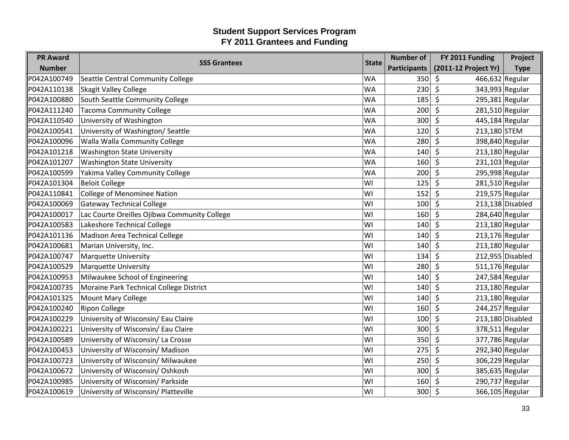| <b>PR Award</b> | <b>SSS Grantees</b>                          | <b>State</b> | <b>Number of</b>    | FY 2011 Funding              | Project          |
|-----------------|----------------------------------------------|--------------|---------------------|------------------------------|------------------|
| <b>Number</b>   |                                              |              | <b>Participants</b> | (2011-12 Project Yr)         | <b>Type</b>      |
| P042A100749     | Seattle Central Community College            | <b>WA</b>    | 350                 | 466,632 Regular<br>\$        |                  |
| P042A110138     | <b>Skagit Valley College</b>                 | <b>WA</b>    | 230                 | 343,993 Regular<br>\$        |                  |
| P042A100880     | South Seattle Community College              | <b>WA</b>    | 185                 | \$<br>295,381 Regular        |                  |
| P042A111240     | <b>Tacoma Community College</b>              | <b>WA</b>    | 200                 | $\zeta$<br>281,510 Regular   |                  |
| P042A110540     | University of Washington                     | <b>WA</b>    | 300                 | $\zeta$<br>445,184 Regular   |                  |
| P042A100541     | University of Washington/ Seattle            | <b>WA</b>    | 120                 | \$<br>213,180 STEM           |                  |
| P042A100096     | Walla Walla Community College                | <b>WA</b>    | 280                 | $\zeta$<br>398,840 Regular   |                  |
| P042A101218     | <b>Washington State University</b>           | <b>WA</b>    | 140                 | $\zeta$<br>213,180 Regular   |                  |
| P042A101207     | <b>Washington State University</b>           | <b>WA</b>    | 160                 | $\zeta$<br>$231,103$ Regular |                  |
| P042A100599     | Yakima Valley Community College              | <b>WA</b>    | 200                 | 295,998 Regular<br>\$        |                  |
| P042A101304     | <b>Beloit College</b>                        | WI           | 125                 | $\zeta$<br>281,510 Regular   |                  |
| P042A110841     | <b>College of Menominee Nation</b>           | WI           | 152                 | $\zeta$<br>$219,575$ Regular |                  |
| P042A100069     | <b>Gateway Technical College</b>             | WI           | 100                 | $\zeta$                      | 213,138 Disabled |
| P042A100017     | Lac Courte Oreilles Ojibwa Community College | WI           | 160                 | 284,640 Regular<br>S.        |                  |
| P042A100583     | Lakeshore Technical College                  | WI           | 140                 | $\zeta$<br>$213,180$ Regular |                  |
| P042A101136     | Madison Area Technical College               | WI           | 140                 | $213,176$ Regular<br>\$      |                  |
| P042A100681     | Marian University, Inc.                      | WI           | 140                 | $\zeta$<br>213,180 Regular   |                  |
| P042A100747     | <b>Marquette University</b>                  | WI           | 134                 | \$                           | 212,955 Disabled |
| P042A100529     | <b>Marquette University</b>                  | WI           | 280                 | 511,176 Regular<br>\$        |                  |
| P042A100953     | Milwaukee School of Engineering              | WI           | 140                 | $\zeta$<br>247,584 Regular   |                  |
| P042A100735     | Moraine Park Technical College District      | WI           | 140                 | $\zeta$<br>213,180 Regular   |                  |
| P042A101325     | <b>Mount Mary College</b>                    | WI           | 140                 | 213,180 Regular<br>\$        |                  |
| P042A100240     | <b>Ripon College</b>                         | WI           | 160                 | $\zeta$<br>244,257 Regular   |                  |
| P042A100229     | University of Wisconsin/ Eau Claire          | WI           | 100                 | $\zeta$                      | 213,180 Disabled |
| P042A100221     | University of Wisconsin/ Eau Claire          | WI           | 300                 | $\zeta$<br>378,511 Regular   |                  |
| P042A100589     | University of Wisconsin/ La Crosse           | WI           | 350                 | \$<br>377,786 Regular        |                  |
| P042A100453     | University of Wisconsin/ Madison             | WI           | 275                 | $\zeta$<br>292,340 Regular   |                  |
| P042A100723     | University of Wisconsin/ Milwaukee           | WI           | 250                 | $\zeta$<br>306,229 Regular   |                  |
| P042A100672     | University of Wisconsin/Oshkosh              | WI           | 300                 | $\zeta$<br>385,635 Regular   |                  |
| P042A100985     | University of Wisconsin/ Parkside            | WI           | 160                 | 290,737 Regular<br>\$        |                  |
| P042A100619     | University of Wisconsin/ Platteville         | WI           | 300                 | $\zeta$<br>366,105 Regular   |                  |